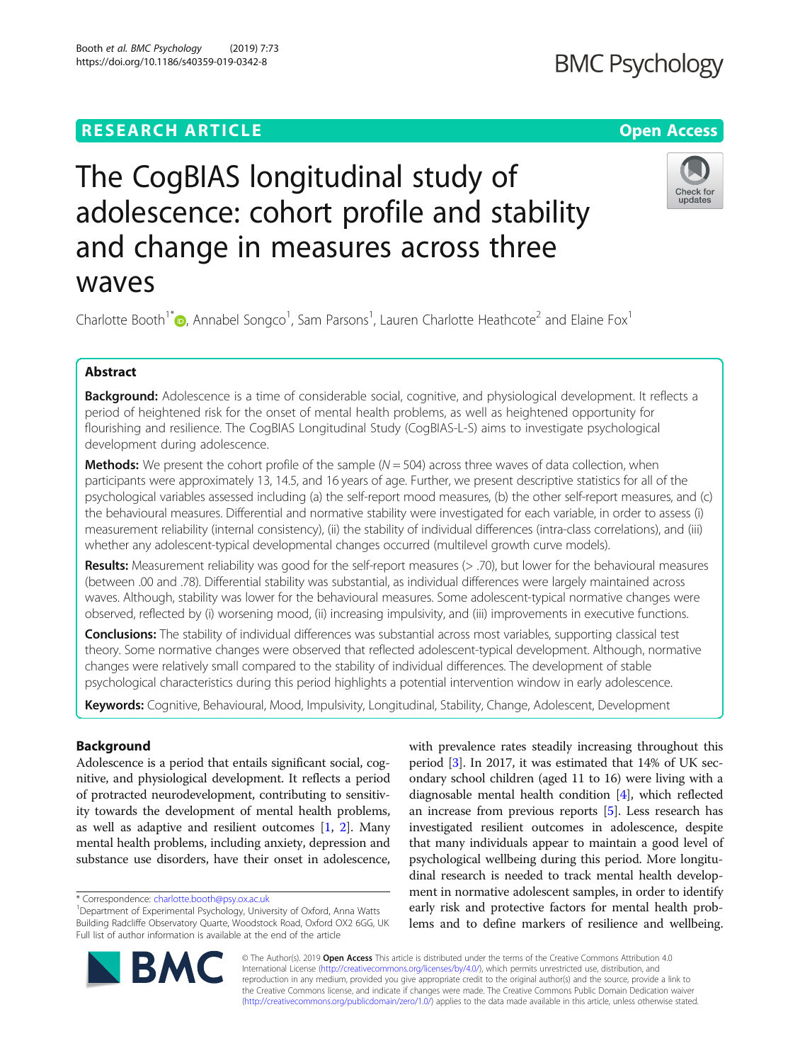# **RESEARCH ARTICLE Example 2014 12:30 The Contract of Contract ACCESS**

# The CogBIAS longitudinal study of adolescence: cohort profile and stability and change in measures across three waves

Charlotte Booth<sup>1\*</sup>  $\bullet$ [,](http://orcid.org/0000-0001-7576-4070) Annabel Songco<sup>1</sup>, Sam Parsons<sup>1</sup>, Lauren Charlotte Heathcote<sup>2</sup> and Elaine Fox<sup>1</sup>

# Abstract

Background: Adolescence is a time of considerable social, cognitive, and physiological development. It reflects a period of heightened risk for the onset of mental health problems, as well as heightened opportunity for flourishing and resilience. The CogBIAS Longitudinal Study (CogBIAS-L-S) aims to investigate psychological development during adolescence.

**Methods:** We present the cohort profile of the sample  $(N = 504)$  across three waves of data collection, when participants were approximately 13, 14.5, and 16 years of age. Further, we present descriptive statistics for all of the psychological variables assessed including (a) the self-report mood measures, (b) the other self-report measures, and (c) the behavioural measures. Differential and normative stability were investigated for each variable, in order to assess (i) measurement reliability (internal consistency), (ii) the stability of individual differences (intra-class correlations), and (iii) whether any adolescent-typical developmental changes occurred (multilevel growth curve models).

Results: Measurement reliability was good for the self-report measures (> .70), but lower for the behavioural measures (between .00 and .78). Differential stability was substantial, as individual differences were largely maintained across waves. Although, stability was lower for the behavioural measures. Some adolescent-typical normative changes were observed, reflected by (i) worsening mood, (ii) increasing impulsivity, and (iii) improvements in executive functions.

**Conclusions:** The stability of individual differences was substantial across most variables, supporting classical test theory. Some normative changes were observed that reflected adolescent-typical development. Although, normative changes were relatively small compared to the stability of individual differences. The development of stable psychological characteristics during this period highlights a potential intervention window in early adolescence.

Keywords: Cognitive, Behavioural, Mood, Impulsivity, Longitudinal, Stability, Change, Adolescent, Development

# Background

Adolescence is a period that entails significant social, cognitive, and physiological development. It reflects a period of protracted neurodevelopment, contributing to sensitivity towards the development of mental health problems, as well as adaptive and resilient outcomes [[1,](#page-18-0) [2\]](#page-18-0). Many mental health problems, including anxiety, depression and substance use disorders, have their onset in adolescence,

\* Correspondence: [charlotte.booth@psy.ox.ac.uk](mailto:charlotte.booth@psy.ox.ac.uk) <sup>1</sup>

with prevalence rates steadily increasing throughout this period [[3\]](#page-18-0). In 2017, it was estimated that 14% of UK secondary school children (aged 11 to 16) were living with a diagnosable mental health condition [[4\]](#page-18-0), which reflected an increase from previous reports [\[5](#page-18-0)]. Less research has investigated resilient outcomes in adolescence, despite that many individuals appear to maintain a good level of psychological wellbeing during this period. More longitudinal research is needed to track mental health development in normative adolescent samples, in order to identify early risk and protective factors for mental health problems and to define markers of resilience and wellbeing.

© The Author(s). 2019 Open Access This article is distributed under the terms of the Creative Commons Attribution 4.0 International License [\(http://creativecommons.org/licenses/by/4.0/](http://creativecommons.org/licenses/by/4.0/)), which permits unrestricted use, distribution, and reproduction in any medium, provided you give appropriate credit to the original author(s) and the source, provide a link to the Creative Commons license, and indicate if changes were made. The Creative Commons Public Domain Dedication waiver [\(http://creativecommons.org/publicdomain/zero/1.0/](http://creativecommons.org/publicdomain/zero/1.0/)) applies to the data made available in this article, unless otherwise stated.



<sup>&</sup>lt;sup>1</sup>Department of Experimental Psychology, University of Oxford, Anna Watts Building Radcliffe Observatory Quarte, Woodstock Road, Oxford OX2 6GG, UK Full list of author information is available at the end of the article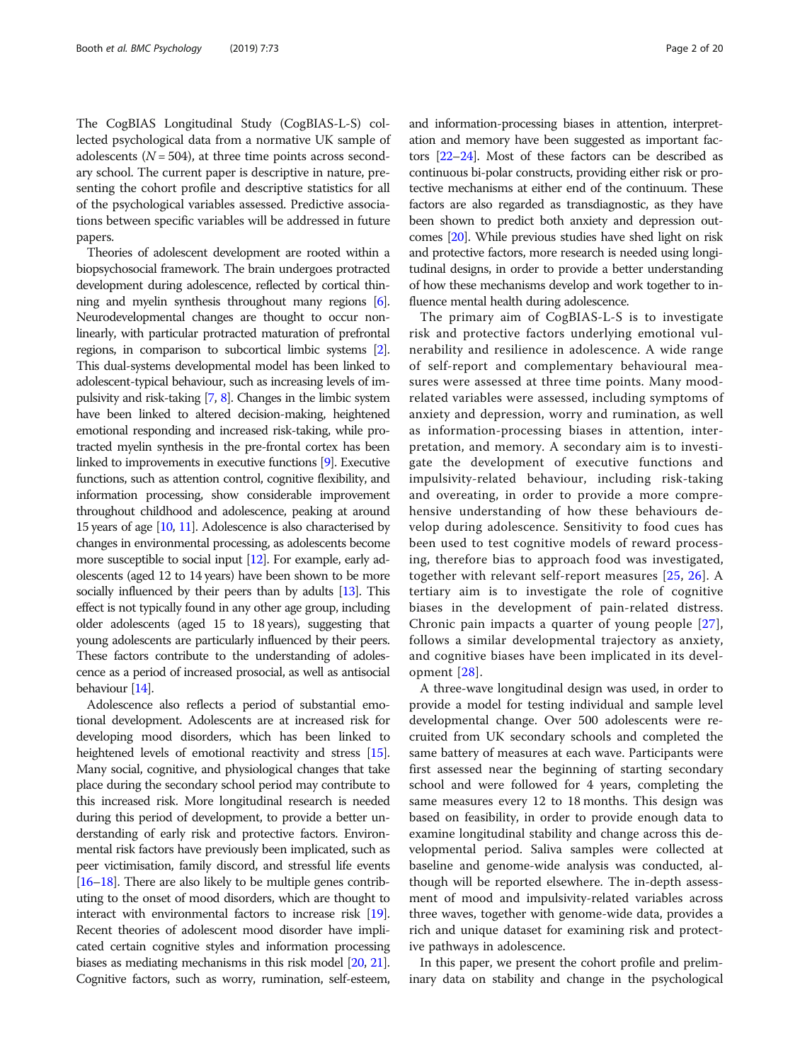The CogBIAS Longitudinal Study (CogBIAS-L-S) collected psychological data from a normative UK sample of adolescents ( $N = 504$ ), at three time points across secondary school. The current paper is descriptive in nature, presenting the cohort profile and descriptive statistics for all of the psychological variables assessed. Predictive associations between specific variables will be addressed in future papers.

Theories of adolescent development are rooted within a biopsychosocial framework. The brain undergoes protracted development during adolescence, reflected by cortical thinning and myelin synthesis throughout many regions [\[6](#page-18-0)]. Neurodevelopmental changes are thought to occur nonlinearly, with particular protracted maturation of prefrontal regions, in comparison to subcortical limbic systems [\[2](#page-18-0)]. This dual-systems developmental model has been linked to adolescent-typical behaviour, such as increasing levels of impulsivity and risk-taking [\[7,](#page-18-0) [8\]](#page-18-0). Changes in the limbic system have been linked to altered decision-making, heightened emotional responding and increased risk-taking, while protracted myelin synthesis in the pre-frontal cortex has been linked to improvements in executive functions [\[9](#page-18-0)]. Executive functions, such as attention control, cognitive flexibility, and information processing, show considerable improvement throughout childhood and adolescence, peaking at around 15 years of age [\[10](#page-18-0), [11\]](#page-18-0). Adolescence is also characterised by changes in environmental processing, as adolescents become more susceptible to social input [\[12\]](#page-18-0). For example, early adolescents (aged 12 to 14 years) have been shown to be more socially influenced by their peers than by adults [\[13](#page-18-0)]. This effect is not typically found in any other age group, including older adolescents (aged 15 to 18 years), suggesting that young adolescents are particularly influenced by their peers. These factors contribute to the understanding of adolescence as a period of increased prosocial, as well as antisocial behaviour [\[14\]](#page-18-0).

Adolescence also reflects a period of substantial emotional development. Adolescents are at increased risk for developing mood disorders, which has been linked to heightened levels of emotional reactivity and stress [\[15](#page-18-0)]. Many social, cognitive, and physiological changes that take place during the secondary school period may contribute to this increased risk. More longitudinal research is needed during this period of development, to provide a better understanding of early risk and protective factors. Environmental risk factors have previously been implicated, such as peer victimisation, family discord, and stressful life events [[16](#page-18-0)–[18](#page-18-0)]. There are also likely to be multiple genes contributing to the onset of mood disorders, which are thought to interact with environmental factors to increase risk [\[19](#page-18-0)]. Recent theories of adolescent mood disorder have implicated certain cognitive styles and information processing biases as mediating mechanisms in this risk model [[20](#page-18-0), [21](#page-18-0)]. Cognitive factors, such as worry, rumination, self-esteem, and information-processing biases in attention, interpretation and memory have been suggested as important factors [[22](#page-18-0)–[24](#page-18-0)]. Most of these factors can be described as continuous bi-polar constructs, providing either risk or protective mechanisms at either end of the continuum. These factors are also regarded as transdiagnostic, as they have been shown to predict both anxiety and depression outcomes [\[20](#page-18-0)]. While previous studies have shed light on risk and protective factors, more research is needed using longitudinal designs, in order to provide a better understanding of how these mechanisms develop and work together to influence mental health during adolescence.

The primary aim of CogBIAS-L-S is to investigate risk and protective factors underlying emotional vulnerability and resilience in adolescence. A wide range of self-report and complementary behavioural measures were assessed at three time points. Many moodrelated variables were assessed, including symptoms of anxiety and depression, worry and rumination, as well as information-processing biases in attention, interpretation, and memory. A secondary aim is to investigate the development of executive functions and impulsivity-related behaviour, including risk-taking and overeating, in order to provide a more comprehensive understanding of how these behaviours develop during adolescence. Sensitivity to food cues has been used to test cognitive models of reward processing, therefore bias to approach food was investigated, together with relevant self-report measures [[25,](#page-18-0) [26\]](#page-18-0). A tertiary aim is to investigate the role of cognitive biases in the development of pain-related distress. Chronic pain impacts a quarter of young people [[27](#page-18-0)], follows a similar developmental trajectory as anxiety, and cognitive biases have been implicated in its development [[28\]](#page-18-0).

A three-wave longitudinal design was used, in order to provide a model for testing individual and sample level developmental change. Over 500 adolescents were recruited from UK secondary schools and completed the same battery of measures at each wave. Participants were first assessed near the beginning of starting secondary school and were followed for 4 years, completing the same measures every 12 to 18 months. This design was based on feasibility, in order to provide enough data to examine longitudinal stability and change across this developmental period. Saliva samples were collected at baseline and genome-wide analysis was conducted, although will be reported elsewhere. The in-depth assessment of mood and impulsivity-related variables across three waves, together with genome-wide data, provides a rich and unique dataset for examining risk and protective pathways in adolescence.

In this paper, we present the cohort profile and preliminary data on stability and change in the psychological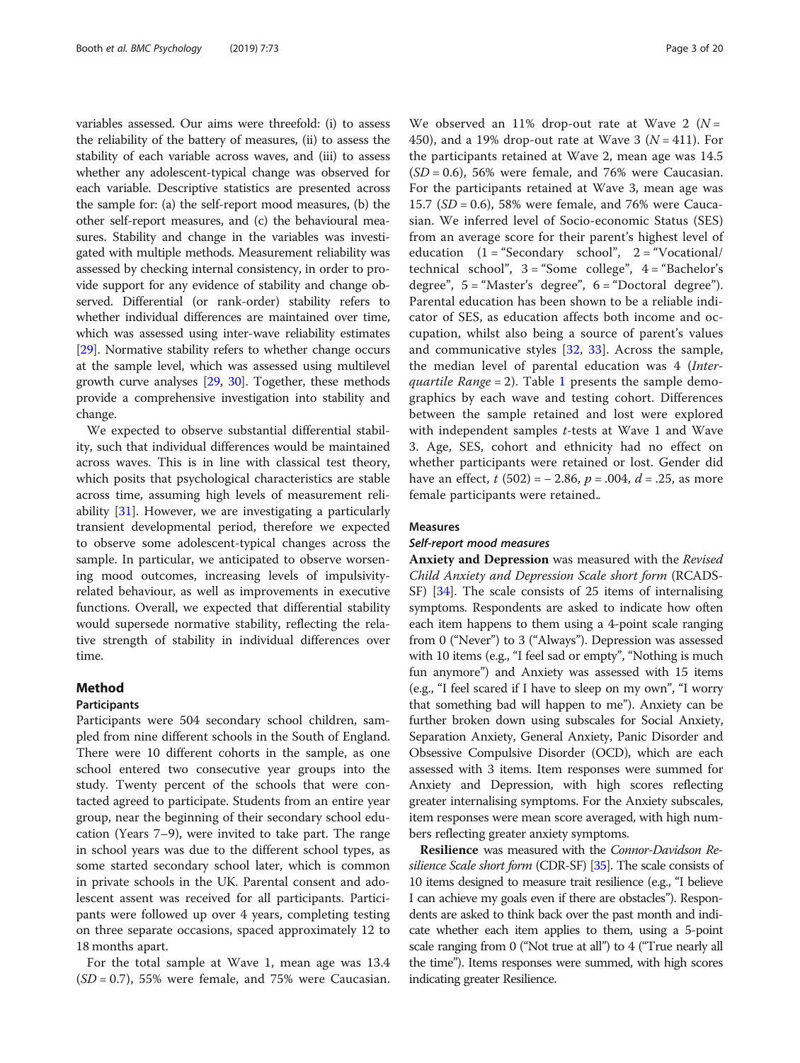variables assessed. Our aims were threefold: (i) to assess the reliability of the battery of measures, (ii) to assess the stability of each variable across waves, and (iii) to assess whether any adolescent-typical change was observed for each variable. Descriptive statistics are presented across the sample for: (a) the self-report mood measures, (b) the other self-report measures, and (c) the behavioural measures. Stability and change in the variables was investigated with multiple methods. Measurement reliability was assessed by checking internal consistency, in order to provide support for any evidence of stability and change observed. Differential (or rank-order) stability refers to whether individual differences are maintained over time, which was assessed using inter-wave reliability estimates [[29](#page-18-0)]. Normative stability refers to whether change occurs at the sample level, which was assessed using multilevel growth curve analyses [\[29,](#page-18-0) [30\]](#page-18-0). Together, these methods provide a comprehensive investigation into stability and change.

We expected to observe substantial differential stability, such that individual differences would be maintained across waves. This is in line with classical test theory, which posits that psychological characteristics are stable across time, assuming high levels of measurement reliability [\[31](#page-18-0)]. However, we are investigating a particularly transient developmental period, therefore we expected to observe some adolescent-typical changes across the sample. In particular, we anticipated to observe worsening mood outcomes, increasing levels of impulsivityrelated behaviour, as well as improvements in executive functions. Overall, we expected that differential stability would supersede normative stability, reflecting the relative strength of stability in individual differences over time.

# Method

# Participants

Participants were 504 secondary school children, sampled from nine different schools in the South of England. There were 10 different cohorts in the sample, as one school entered two consecutive year groups into the study. Twenty percent of the schools that were contacted agreed to participate. Students from an entire year group, near the beginning of their secondary school education (Years 7–9), were invited to take part. The range in school years was due to the different school types, as some started secondary school later, which is common in private schools in the UK. Parental consent and adolescent assent was received for all participants. Participants were followed up over 4 years, completing testing on three separate occasions, spaced approximately 12 to 18 months apart.

For the total sample at Wave 1, mean age was 13.4  $(SD = 0.7)$ , 55% were female, and 75% were Caucasian.

We observed an 11% drop-out rate at Wave 2  $(N =$ 450), and a 19% drop-out rate at Wave 3 ( $N = 411$ ). For the participants retained at Wave 2, mean age was 14.5  $(SD = 0.6)$ , 56% were female, and 76% were Caucasian. For the participants retained at Wave 3, mean age was 15.7 (SD = 0.6), 58% were female, and 76% were Caucasian. We inferred level of Socio-economic Status (SES) from an average score for their parent's highest level of education  $(1 = "Secondary school", 2 = "Vocational/$ technical school",  $3 =$  "Some college",  $4 =$  "Bachelor's degree", 5= "Master's degree", 6= "Doctoral degree"). Parental education has been shown to be a reliable indicator of SES, as education affects both income and occupation, whilst also being a source of parent's values and communicative styles [[32,](#page-18-0) [33](#page-18-0)]. Across the sample, the median level of parental education was 4 (Inter-quartile Range = 2). Table [1](#page-3-0) presents the sample demographics by each wave and testing cohort. Differences between the sample retained and lost were explored with independent samples t-tests at Wave 1 and Wave 3. Age, SES, cohort and ethnicity had no effect on whether participants were retained or lost. Gender did have an effect,  $t$  (502) = - 2.86,  $p$  = .004,  $d$  = .25, as more female participants were retained..

# Measures

# Self-report mood measures

Anxiety and Depression was measured with the Revised Child Anxiety and Depression Scale short form (RCADS-SF) [\[34\]](#page-19-0). The scale consists of 25 items of internalising symptoms. Respondents are asked to indicate how often each item happens to them using a 4-point scale ranging from 0 ("Never") to 3 ("Always"). Depression was assessed with 10 items (e.g., "I feel sad or empty", "Nothing is much fun anymore") and Anxiety was assessed with 15 items (e.g., "I feel scared if I have to sleep on my own", "I worry that something bad will happen to me"). Anxiety can be further broken down using subscales for Social Anxiety, Separation Anxiety, General Anxiety, Panic Disorder and Obsessive Compulsive Disorder (OCD), which are each assessed with 3 items. Item responses were summed for Anxiety and Depression, with high scores reflecting greater internalising symptoms. For the Anxiety subscales, item responses were mean score averaged, with high numbers reflecting greater anxiety symptoms.

Resilience was measured with the Connor-Davidson Re-silience Scale short form (CDR-SF) [\[35\]](#page-19-0). The scale consists of 10 items designed to measure trait resilience (e.g., "I believe I can achieve my goals even if there are obstacles"). Respondents are asked to think back over the past month and indicate whether each item applies to them, using a 5-point scale ranging from 0 ("Not true at all") to 4 ("True nearly all the time"). Items responses were summed, with high scores indicating greater Resilience.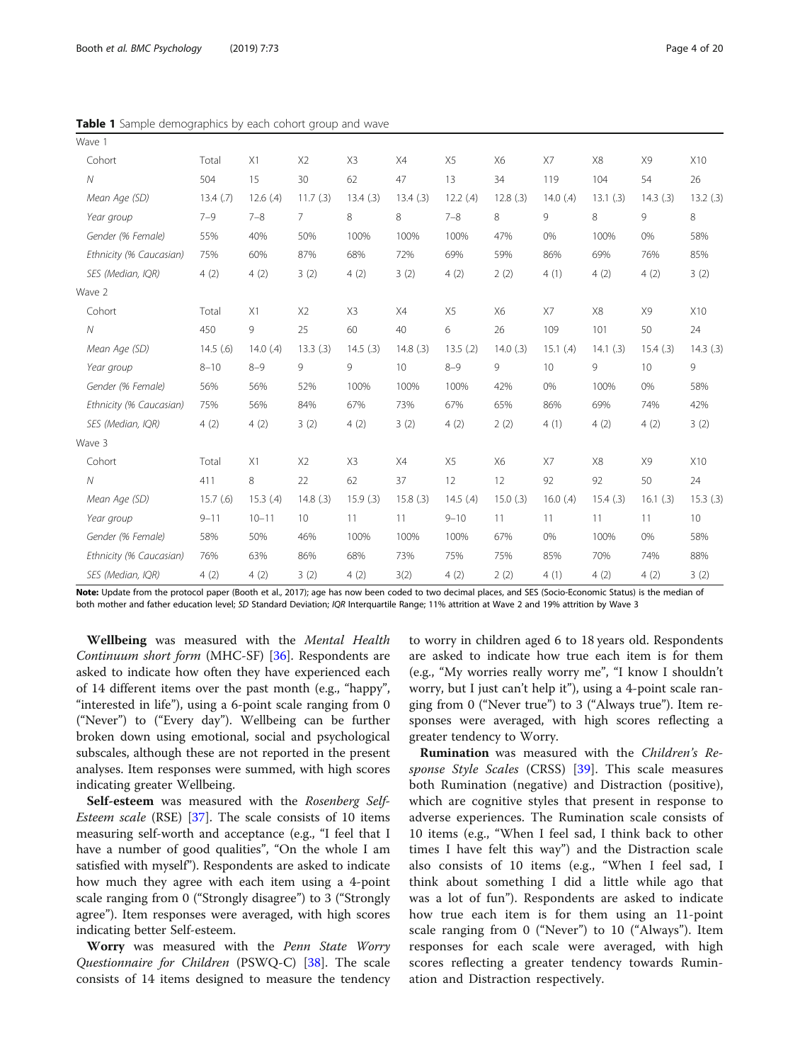| Wave 1                  |          |           |                |          |          |                |             |             |          |               |          |
|-------------------------|----------|-----------|----------------|----------|----------|----------------|-------------|-------------|----------|---------------|----------|
| Cohort                  | Total    | X1        | X <sub>2</sub> | X3       | X4       | X <sub>5</sub> | X6          | X7          | X8       | X9            | X10      |
| ${\cal N}$              | 504      | 15        | 30             | 62       | 47       | 13             | 34          | 119         | 104      | 54            | 26       |
| Mean Age (SD)           | 13.4(.7) | 12.6(.4)  | 11.7(.3)       | 13.4(.3) | 13.4(.3) | 12.2(.4)       | 12.8(.3)    | $14.0$ (.4) | 13.1(.3) | 14.3(.3)      | 13.2(.3) |
| Year group              | $7 - 9$  | $7 - 8$   | 7.             | 8        | 8        | $7 - 8$        | 8           | 9           | 8        | 9             | 8        |
| Gender (% Female)       | 55%      | 40%       | 50%            | 100%     | 100%     | 100%           | 47%         | 0%          | 100%     | 0%            | 58%      |
| Ethnicity (% Caucasian) | 75%      | 60%       | 87%            | 68%      | 72%      | 69%            | 59%         | 86%         | 69%      | 76%           | 85%      |
| SES (Median, IQR)       | 4(2)     | 4(2)      | 3(2)           | 4(2)     | 3(2)     | 4(2)           | 2(2)        | 4(1)        | 4(2)     | 4(2)          | 3(2)     |
| Wave 2                  |          |           |                |          |          |                |             |             |          |               |          |
| Cohort                  | Total    | X1        | X <sub>2</sub> | X3       | X4       | X <sub>5</sub> | X6          | X7          | X8       | X9            | X10      |
| $\mathcal N$            | 450      | 9         | 25             | 60       | 40       | 6              | 26          | 109         | 101      | 50            | 24       |
| Mean Age (SD)           | 14.5(6)  | 14.0(4)   | 13.3(.3)       | 14.5(.3) | 14.8(.3) | 13.5(.2)       | $14.0$ (.3) | $15.1$ (.4) | 14.1(.3) | 15.4(.3)      | 14.3(.3) |
| Year group              | $8 - 10$ | $8 - 9$   | 9              | 9        | 10       | $8 - 9$        | 9           | 10          | 9        | 10            | 9        |
| Gender (% Female)       | 56%      | 56%       | 52%            | 100%     | 100%     | 100%           | 42%         | 0%          | 100%     | 0%            | 58%      |
| Ethnicity (% Caucasian) | 75%      | 56%       | 84%            | 67%      | 73%      | 67%            | 65%         | 86%         | 69%      | 74%           | 42%      |
| SES (Median, IQR)       | 4(2)     | 4(2)      | 3(2)           | 4(2)     | 3(2)     | 4(2)           | 2(2)        | 4(1)        | 4(2)     | 4(2)          | 3(2)     |
| Wave 3                  |          |           |                |          |          |                |             |             |          |               |          |
| Cohort                  | Total    | X1        | X <sub>2</sub> | X3       | X4       | X5             | X6          | X7          | X8       | X9            | X10      |
| $\mathcal N$            | 411      | 8         | 22             | 62       | 37       | 12             | 12          | 92          | 92       | 50            | 24       |
| Mean Age (SD)           | 15.7(6)  | 15.3(4)   | 14.8(.3)       | 15.9(.3) | 15.8(.3) | 14.5(4)        | 15.0(.3)    | $16.0$ (.4) | 15.4(.3) | $16.1$ $(.3)$ | 15.3(.3) |
| Year group              | $9 - 11$ | $10 - 11$ | 10             | 11       | 11       | $9 - 10$       | 11          | 11          | 11       | 11            | 10       |
| Gender (% Female)       | 58%      | 50%       | 46%            | 100%     | 100%     | 100%           | 67%         | 0%          | 100%     | 0%            | 58%      |
| Ethnicity (% Caucasian) | 76%      | 63%       | 86%            | 68%      | 73%      | 75%            | 75%         | 85%         | 70%      | 74%           | 88%      |
| SES (Median, IQR)       | 4(2)     | 4(2)      | 3(2)           | 4(2)     | 3(2)     | 4(2)           | 2(2)        | 4(1)        | 4(2)     | 4(2)          | 3(2)     |

<span id="page-3-0"></span>Table 1 Sample demographics by each cohort group and wave

Note: Update from the protocol paper (Booth et al., 2017); age has now been coded to two decimal places, and SES (Socio-Economic Status) is the median of both mother and father education level; SD Standard Deviation; IQR Interquartile Range; 11% attrition at Wave 2 and 19% attrition by Wave 3

Wellbeing was measured with the Mental Health Continuum short form (MHC-SF) [[36](#page-19-0)]. Respondents are asked to indicate how often they have experienced each of 14 different items over the past month (e.g., "happy", "interested in life"), using a 6-point scale ranging from 0 ("Never") to ("Every day"). Wellbeing can be further broken down using emotional, social and psychological subscales, although these are not reported in the present analyses. Item responses were summed, with high scores indicating greater Wellbeing.

Self-esteem was measured with the Rosenberg Self-Esteem scale (RSE) [[37\]](#page-19-0). The scale consists of 10 items measuring self-worth and acceptance (e.g., "I feel that I have a number of good qualities", "On the whole I am satisfied with myself"). Respondents are asked to indicate how much they agree with each item using a 4-point scale ranging from 0 ("Strongly disagree") to 3 ("Strongly agree"). Item responses were averaged, with high scores indicating better Self-esteem.

Worry was measured with the Penn State Worry Questionnaire for Children (PSWQ-C) [\[38\]](#page-19-0). The scale consists of 14 items designed to measure the tendency

to worry in children aged 6 to 18 years old. Respondents are asked to indicate how true each item is for them (e.g., "My worries really worry me", "I know I shouldn't worry, but I just can't help it"), using a 4-point scale ranging from 0 ("Never true") to 3 ("Always true"). Item responses were averaged, with high scores reflecting a greater tendency to Worry.

Rumination was measured with the Children's Re-sponse Style Scales (CRSS) [[39\]](#page-19-0). This scale measures both Rumination (negative) and Distraction (positive), which are cognitive styles that present in response to adverse experiences. The Rumination scale consists of 10 items (e.g., "When I feel sad, I think back to other times I have felt this way") and the Distraction scale also consists of 10 items (e.g., "When I feel sad, I think about something I did a little while ago that was a lot of fun"). Respondents are asked to indicate how true each item is for them using an 11-point scale ranging from 0 ("Never") to 10 ("Always"). Item responses for each scale were averaged, with high scores reflecting a greater tendency towards Rumination and Distraction respectively.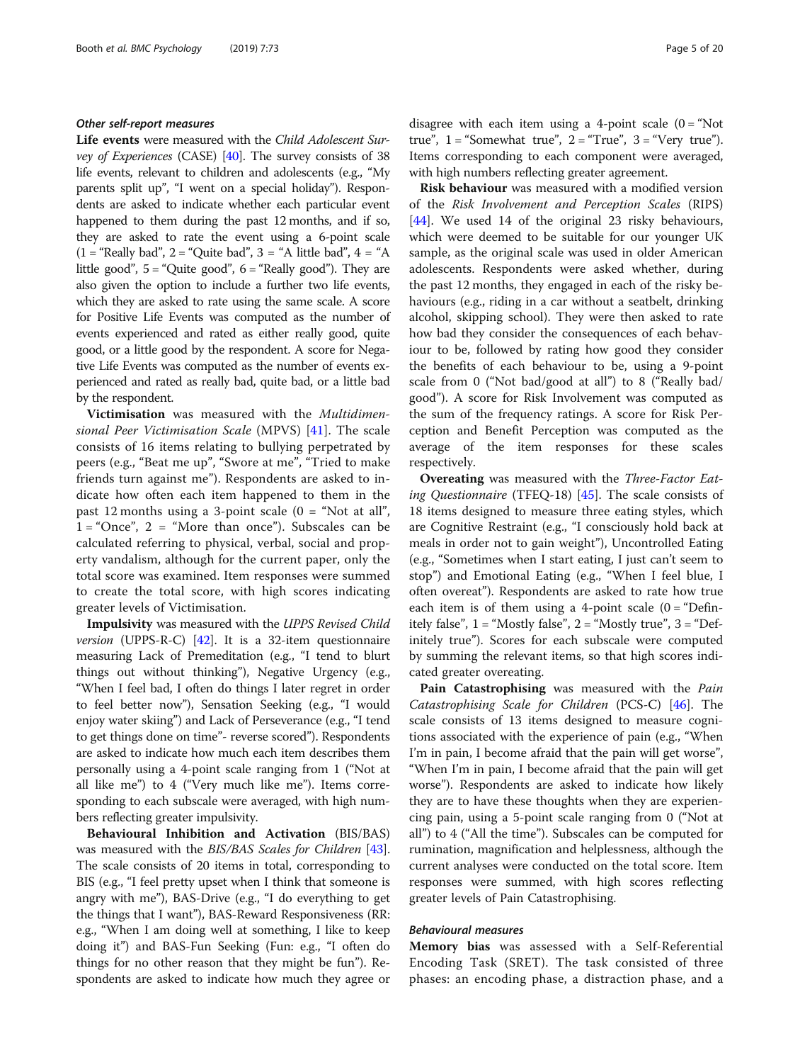## Other self-report measures

Life events were measured with the Child Adolescent Survey of Experiences (CASE)  $[40]$ . The survey consists of 38 life events, relevant to children and adolescents (e.g., "My parents split up", "I went on a special holiday"). Respondents are asked to indicate whether each particular event happened to them during the past 12 months, and if so, they are asked to rate the event using a 6-point scale  $(1 = "Really bad", 2 = "Quite bad", 3 = "A little bad", 4 = "A"$ little good",  $5 =$  "Quite good",  $6 =$  "Really good"). They are also given the option to include a further two life events, which they are asked to rate using the same scale. A score for Positive Life Events was computed as the number of events experienced and rated as either really good, quite good, or a little good by the respondent. A score for Negative Life Events was computed as the number of events experienced and rated as really bad, quite bad, or a little bad by the respondent.

Victimisation was measured with the Multidimensional Peer Victimisation Scale (MPVS) [\[41](#page-19-0)]. The scale consists of 16 items relating to bullying perpetrated by peers (e.g., "Beat me up", "Swore at me", "Tried to make friends turn against me"). Respondents are asked to indicate how often each item happened to them in the past 12 months using a 3-point scale  $(0 = "Not at all",$  $1 = "Once", 2 = "More than once"). Subscales can be$ calculated referring to physical, verbal, social and property vandalism, although for the current paper, only the total score was examined. Item responses were summed to create the total score, with high scores indicating greater levels of Victimisation.

Impulsivity was measured with the UPPS Revised Child *version* (UPPS-R-C) [[42](#page-19-0)]. It is a 32-item questionnaire measuring Lack of Premeditation (e.g., "I tend to blurt things out without thinking"), Negative Urgency (e.g., "When I feel bad, I often do things I later regret in order to feel better now"), Sensation Seeking (e.g., "I would enjoy water skiing") and Lack of Perseverance (e.g., "I tend to get things done on time"- reverse scored"). Respondents are asked to indicate how much each item describes them personally using a 4-point scale ranging from 1 ("Not at all like me") to 4 ("Very much like me"). Items corresponding to each subscale were averaged, with high numbers reflecting greater impulsivity.

Behavioural Inhibition and Activation (BIS/BAS) was measured with the BIS/BAS Scales for Children [[43](#page-19-0)]. The scale consists of 20 items in total, corresponding to BIS (e.g., "I feel pretty upset when I think that someone is angry with me"), BAS-Drive (e.g., "I do everything to get the things that I want"), BAS-Reward Responsiveness (RR: e.g., "When I am doing well at something, I like to keep doing it") and BAS-Fun Seeking (Fun: e.g., "I often do things for no other reason that they might be fun"). Respondents are asked to indicate how much they agree or

disagree with each item using a 4-point scale  $(0 = "Not" )$ true",  $1 =$  "Somewhat true",  $2 =$  "True",  $3 =$  "Very true"). Items corresponding to each component were averaged, with high numbers reflecting greater agreement.

Risk behaviour was measured with a modified version of the Risk Involvement and Perception Scales (RIPS) [[44\]](#page-19-0). We used 14 of the original 23 risky behaviours, which were deemed to be suitable for our younger UK sample, as the original scale was used in older American adolescents. Respondents were asked whether, during the past 12 months, they engaged in each of the risky behaviours (e.g., riding in a car without a seatbelt, drinking alcohol, skipping school). They were then asked to rate how bad they consider the consequences of each behaviour to be, followed by rating how good they consider the benefits of each behaviour to be, using a 9-point scale from 0 ("Not bad/good at all") to 8 ("Really bad/ good"). A score for Risk Involvement was computed as the sum of the frequency ratings. A score for Risk Perception and Benefit Perception was computed as the average of the item responses for these scales respectively.

Overeating was measured with the Three-Factor Eating Questionnaire (TFEQ-18) [[45\]](#page-19-0). The scale consists of 18 items designed to measure three eating styles, which are Cognitive Restraint (e.g., "I consciously hold back at meals in order not to gain weight"), Uncontrolled Eating (e.g., "Sometimes when I start eating, I just can't seem to stop") and Emotional Eating (e.g., "When I feel blue, I often overeat"). Respondents are asked to rate how true each item is of them using a 4-point scale  $(0 = 0$  = "Definitely false",  $1 =$  "Mostly false",  $2 =$  "Mostly true",  $3 =$  "Definitely true"). Scores for each subscale were computed by summing the relevant items, so that high scores indicated greater overeating.

Pain Catastrophising was measured with the Pain Catastrophising Scale for Children (PCS-C) [\[46](#page-19-0)]. The scale consists of 13 items designed to measure cognitions associated with the experience of pain (e.g., "When I'm in pain, I become afraid that the pain will get worse", "When I'm in pain, I become afraid that the pain will get worse"). Respondents are asked to indicate how likely they are to have these thoughts when they are experiencing pain, using a 5-point scale ranging from 0 ("Not at all") to 4 ("All the time"). Subscales can be computed for rumination, magnification and helplessness, although the current analyses were conducted on the total score. Item responses were summed, with high scores reflecting greater levels of Pain Catastrophising.

# Behavioural measures

Memory bias was assessed with a Self-Referential Encoding Task (SRET). The task consisted of three phases: an encoding phase, a distraction phase, and a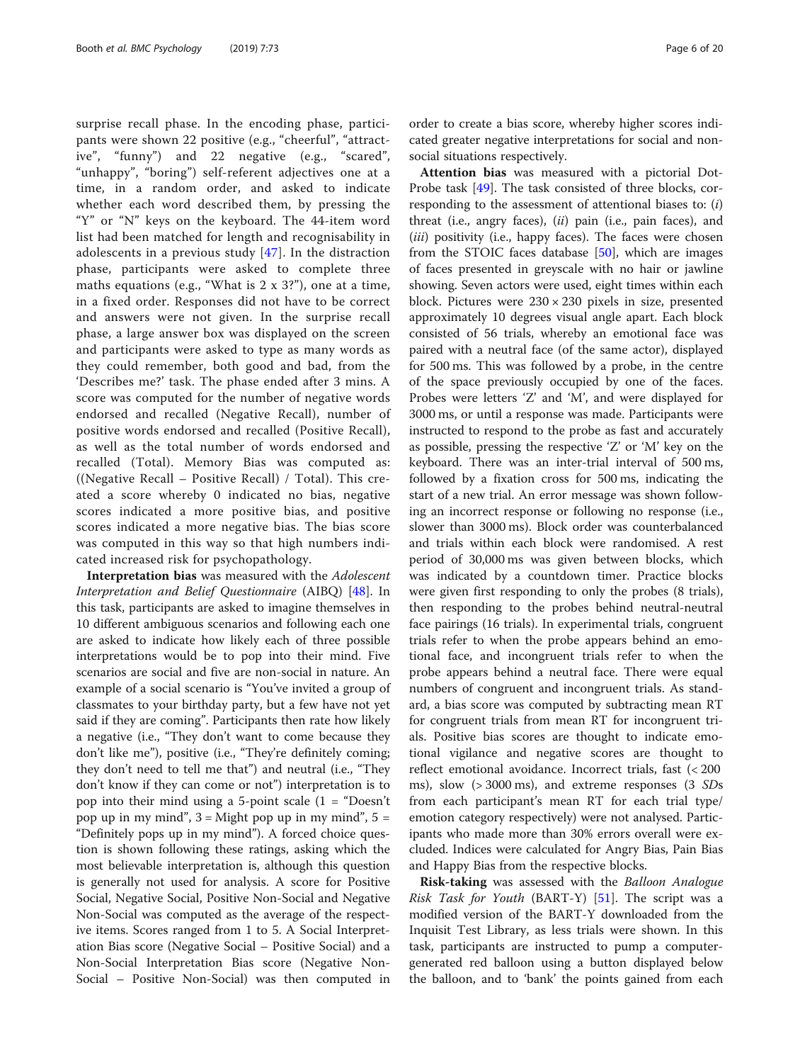surprise recall phase. In the encoding phase, participants were shown 22 positive (e.g., "cheerful", "attractive", "funny") and 22 negative (e.g., "scared", "unhappy", "boring") self-referent adjectives one at a time, in a random order, and asked to indicate whether each word described them, by pressing the "Y" or "N" keys on the keyboard. The 44-item word list had been matched for length and recognisability in adolescents in a previous study [[47](#page-19-0)]. In the distraction phase, participants were asked to complete three maths equations (e.g., "What is 2 x 3?"), one at a time, in a fixed order. Responses did not have to be correct and answers were not given. In the surprise recall phase, a large answer box was displayed on the screen and participants were asked to type as many words as they could remember, both good and bad, from the 'Describes me?' task. The phase ended after 3 mins. A score was computed for the number of negative words endorsed and recalled (Negative Recall), number of positive words endorsed and recalled (Positive Recall), as well as the total number of words endorsed and recalled (Total). Memory Bias was computed as: ((Negative Recall – Positive Recall) / Total). This created a score whereby 0 indicated no bias, negative scores indicated a more positive bias, and positive scores indicated a more negative bias. The bias score was computed in this way so that high numbers indicated increased risk for psychopathology.

Interpretation bias was measured with the Adolescent Interpretation and Belief Questionnaire (AIBQ) [[48](#page-19-0)]. In this task, participants are asked to imagine themselves in 10 different ambiguous scenarios and following each one are asked to indicate how likely each of three possible interpretations would be to pop into their mind. Five scenarios are social and five are non-social in nature. An example of a social scenario is "You've invited a group of classmates to your birthday party, but a few have not yet said if they are coming". Participants then rate how likely a negative (i.e., "They don't want to come because they don't like me"), positive (i.e., "They're definitely coming; they don't need to tell me that") and neutral (i.e., "They don't know if they can come or not") interpretation is to pop into their mind using a 5-point scale  $(1 -$  "Doesn't pop up in my mind",  $3 =$  Might pop up in my mind",  $5 =$ "Definitely pops up in my mind"). A forced choice question is shown following these ratings, asking which the most believable interpretation is, although this question is generally not used for analysis. A score for Positive Social, Negative Social, Positive Non-Social and Negative Non-Social was computed as the average of the respective items. Scores ranged from 1 to 5. A Social Interpretation Bias score (Negative Social – Positive Social) and a Non-Social Interpretation Bias score (Negative Non-Social – Positive Non-Social) was then computed in

order to create a bias score, whereby higher scores indicated greater negative interpretations for social and nonsocial situations respectively.

Attention bias was measured with a pictorial Dot-Probe task [[49\]](#page-19-0). The task consisted of three blocks, corresponding to the assessment of attentional biases to:  $(i)$ threat (i.e., angry faces),  $(ii)$  pain (i.e., pain faces), and (iii) positivity (i.e., happy faces). The faces were chosen from the STOIC faces database [[50\]](#page-19-0), which are images of faces presented in greyscale with no hair or jawline showing. Seven actors were used, eight times within each block. Pictures were  $230 \times 230$  pixels in size, presented approximately 10 degrees visual angle apart. Each block consisted of 56 trials, whereby an emotional face was paired with a neutral face (of the same actor), displayed for 500 ms. This was followed by a probe, in the centre of the space previously occupied by one of the faces. Probes were letters 'Z' and 'M', and were displayed for 3000 ms, or until a response was made. Participants were instructed to respond to the probe as fast and accurately as possible, pressing the respective 'Z' or 'M' key on the keyboard. There was an inter-trial interval of 500 ms, followed by a fixation cross for 500 ms, indicating the start of a new trial. An error message was shown following an incorrect response or following no response (i.e., slower than 3000 ms). Block order was counterbalanced and trials within each block were randomised. A rest period of 30,000 ms was given between blocks, which was indicated by a countdown timer. Practice blocks were given first responding to only the probes (8 trials), then responding to the probes behind neutral-neutral face pairings (16 trials). In experimental trials, congruent trials refer to when the probe appears behind an emotional face, and incongruent trials refer to when the probe appears behind a neutral face. There were equal numbers of congruent and incongruent trials. As standard, a bias score was computed by subtracting mean RT for congruent trials from mean RT for incongruent trials. Positive bias scores are thought to indicate emotional vigilance and negative scores are thought to reflect emotional avoidance. Incorrect trials, fast (< 200 ms), slow (> 3000 ms), and extreme responses (3 SDs from each participant's mean RT for each trial type/ emotion category respectively) were not analysed. Participants who made more than 30% errors overall were excluded. Indices were calculated for Angry Bias, Pain Bias and Happy Bias from the respective blocks.

Risk-taking was assessed with the Balloon Analogue Risk Task for Youth (BART-Y) [\[51\]](#page-19-0). The script was a modified version of the BART-Y downloaded from the Inquisit Test Library, as less trials were shown. In this task, participants are instructed to pump a computergenerated red balloon using a button displayed below the balloon, and to 'bank' the points gained from each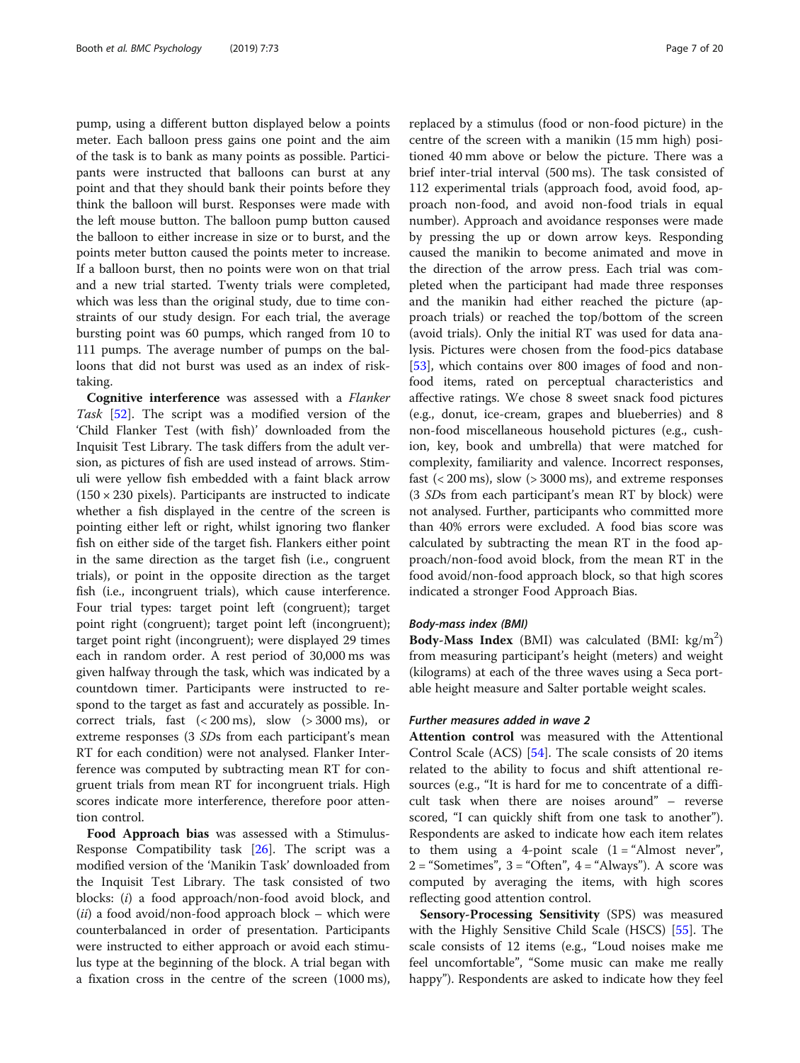pump, using a different button displayed below a points meter. Each balloon press gains one point and the aim of the task is to bank as many points as possible. Participants were instructed that balloons can burst at any point and that they should bank their points before they think the balloon will burst. Responses were made with the left mouse button. The balloon pump button caused the balloon to either increase in size or to burst, and the points meter button caused the points meter to increase. If a balloon burst, then no points were won on that trial and a new trial started. Twenty trials were completed, which was less than the original study, due to time constraints of our study design. For each trial, the average bursting point was 60 pumps, which ranged from 10 to 111 pumps. The average number of pumps on the balloons that did not burst was used as an index of risktaking.

Cognitive interference was assessed with a Flanker Task [[52\]](#page-19-0). The script was a modified version of the 'Child Flanker Test (with fish)' downloaded from the Inquisit Test Library. The task differs from the adult version, as pictures of fish are used instead of arrows. Stimuli were yellow fish embedded with a faint black arrow  $(150 \times 230)$  pixels). Participants are instructed to indicate whether a fish displayed in the centre of the screen is pointing either left or right, whilst ignoring two flanker fish on either side of the target fish. Flankers either point in the same direction as the target fish (i.e., congruent trials), or point in the opposite direction as the target fish (i.e., incongruent trials), which cause interference. Four trial types: target point left (congruent); target point right (congruent); target point left (incongruent); target point right (incongruent); were displayed 29 times each in random order. A rest period of 30,000 ms was given halfway through the task, which was indicated by a countdown timer. Participants were instructed to respond to the target as fast and accurately as possible. Incorrect trials, fast  $( $200 \text{ ms}$ ), slow ( $>$  $3000 \text{ ms}$ ), or$ extreme responses (3 SDs from each participant's mean RT for each condition) were not analysed. Flanker Interference was computed by subtracting mean RT for congruent trials from mean RT for incongruent trials. High scores indicate more interference, therefore poor attention control.

Food Approach bias was assessed with a Stimulus-Response Compatibility task [\[26\]](#page-18-0). The script was a modified version of the 'Manikin Task' downloaded from the Inquisit Test Library. The task consisted of two blocks: (i) a food approach/non-food avoid block, and  $(ii)$  a food avoid/non-food approach block – which were counterbalanced in order of presentation. Participants were instructed to either approach or avoid each stimulus type at the beginning of the block. A trial began with a fixation cross in the centre of the screen (1000 ms),

replaced by a stimulus (food or non-food picture) in the centre of the screen with a manikin (15 mm high) positioned 40 mm above or below the picture. There was a brief inter-trial interval (500 ms). The task consisted of 112 experimental trials (approach food, avoid food, approach non-food, and avoid non-food trials in equal number). Approach and avoidance responses were made by pressing the up or down arrow keys. Responding caused the manikin to become animated and move in the direction of the arrow press. Each trial was completed when the participant had made three responses and the manikin had either reached the picture (approach trials) or reached the top/bottom of the screen (avoid trials). Only the initial RT was used for data analysis. Pictures were chosen from the food-pics database [[53\]](#page-19-0), which contains over 800 images of food and nonfood items, rated on perceptual characteristics and affective ratings. We chose 8 sweet snack food pictures (e.g., donut, ice-cream, grapes and blueberries) and 8 non-food miscellaneous household pictures (e.g., cushion, key, book and umbrella) that were matched for complexity, familiarity and valence. Incorrect responses, fast  $( $200 \text{ ms}$ ), slow ( $>$  $3000 \text{ ms}$ ), and extreme responses$ (3 SDs from each participant's mean RT by block) were not analysed. Further, participants who committed more than 40% errors were excluded. A food bias score was calculated by subtracting the mean RT in the food approach/non-food avoid block, from the mean RT in the food avoid/non-food approach block, so that high scores indicated a stronger Food Approach Bias.

## Body-mass index (BMI)

Body-Mass Index (BMI) was calculated (BMI:  $\text{kg/m}^2$ ) from measuring participant's height (meters) and weight (kilograms) at each of the three waves using a Seca portable height measure and Salter portable weight scales.

# Further measures added in wave 2

Attention control was measured with the Attentional Control Scale (ACS) [\[54](#page-19-0)]. The scale consists of 20 items related to the ability to focus and shift attentional resources (e.g., "It is hard for me to concentrate of a difficult task when there are noises around" – reverse scored, "I can quickly shift from one task to another"). Respondents are asked to indicate how each item relates to them using a 4-point scale  $(1 - \text{"Almost never"},$  $2 =$  "Sometimes",  $3 =$  "Often",  $4 =$  "Always"). A score was computed by averaging the items, with high scores reflecting good attention control.

Sensory-Processing Sensitivity (SPS) was measured with the Highly Sensitive Child Scale (HSCS) [\[55](#page-19-0)]. The scale consists of 12 items (e.g., "Loud noises make me feel uncomfortable", "Some music can make me really happy"). Respondents are asked to indicate how they feel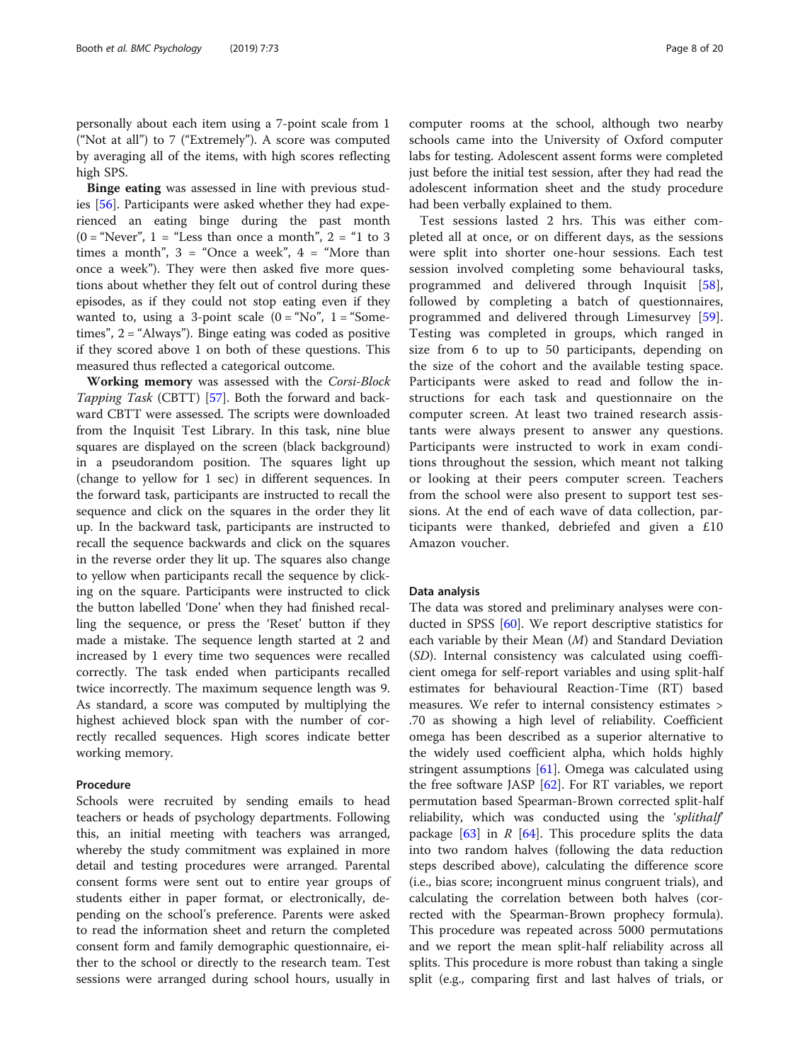personally about each item using a 7-point scale from 1 ("Not at all") to 7 ("Extremely"). A score was computed by averaging all of the items, with high scores reflecting high SPS.

Binge eating was assessed in line with previous studies [[56\]](#page-19-0). Participants were asked whether they had experienced an eating binge during the past month  $(0 = "Never", 1 = "Less than once a month", 2 = "1 to 3"$ times a month",  $3 =$  "Once a week",  $4 =$  "More than once a week"). They were then asked five more questions about whether they felt out of control during these episodes, as if they could not stop eating even if they wanted to, using a 3-point scale  $(0 = "No", 1 = "Some$ times", 2= "Always"). Binge eating was coded as positive if they scored above 1 on both of these questions. This measured thus reflected a categorical outcome.

Working memory was assessed with the Corsi-Block Tapping Task (CBTT) [[57\]](#page-19-0). Both the forward and backward CBTT were assessed. The scripts were downloaded from the Inquisit Test Library. In this task, nine blue squares are displayed on the screen (black background) in a pseudorandom position. The squares light up (change to yellow for 1 sec) in different sequences. In the forward task, participants are instructed to recall the sequence and click on the squares in the order they lit up. In the backward task, participants are instructed to recall the sequence backwards and click on the squares in the reverse order they lit up. The squares also change to yellow when participants recall the sequence by clicking on the square. Participants were instructed to click the button labelled 'Done' when they had finished recalling the sequence, or press the 'Reset' button if they made a mistake. The sequence length started at 2 and increased by 1 every time two sequences were recalled correctly. The task ended when participants recalled twice incorrectly. The maximum sequence length was 9. As standard, a score was computed by multiplying the highest achieved block span with the number of correctly recalled sequences. High scores indicate better working memory.

# Procedure

Schools were recruited by sending emails to head teachers or heads of psychology departments. Following this, an initial meeting with teachers was arranged, whereby the study commitment was explained in more detail and testing procedures were arranged. Parental consent forms were sent out to entire year groups of students either in paper format, or electronically, depending on the school's preference. Parents were asked to read the information sheet and return the completed consent form and family demographic questionnaire, either to the school or directly to the research team. Test sessions were arranged during school hours, usually in computer rooms at the school, although two nearby schools came into the University of Oxford computer labs for testing. Adolescent assent forms were completed just before the initial test session, after they had read the adolescent information sheet and the study procedure had been verbally explained to them.

Test sessions lasted 2 hrs. This was either completed all at once, or on different days, as the sessions were split into shorter one-hour sessions. Each test session involved completing some behavioural tasks, programmed and delivered through Inquisit [\[58](#page-19-0)], followed by completing a batch of questionnaires, programmed and delivered through Limesurvey [\[59](#page-19-0)]. Testing was completed in groups, which ranged in size from 6 to up to 50 participants, depending on the size of the cohort and the available testing space. Participants were asked to read and follow the instructions for each task and questionnaire on the computer screen. At least two trained research assistants were always present to answer any questions. Participants were instructed to work in exam conditions throughout the session, which meant not talking or looking at their peers computer screen. Teachers from the school were also present to support test sessions. At the end of each wave of data collection, participants were thanked, debriefed and given a £10 Amazon voucher.

## Data analysis

The data was stored and preliminary analyses were conducted in SPSS [\[60](#page-19-0)]. We report descriptive statistics for each variable by their Mean (M) and Standard Deviation (SD). Internal consistency was calculated using coefficient omega for self-report variables and using split-half estimates for behavioural Reaction-Time (RT) based measures. We refer to internal consistency estimates > .70 as showing a high level of reliability. Coefficient omega has been described as a superior alternative to the widely used coefficient alpha, which holds highly stringent assumptions [\[61\]](#page-19-0). Omega was calculated using the free software JASP [\[62\]](#page-19-0). For RT variables, we report permutation based Spearman-Brown corrected split-half reliability, which was conducted using the *'splithalf'* package  $[63]$  in R  $[64]$ . This procedure splits the data into two random halves (following the data reduction steps described above), calculating the difference score (i.e., bias score; incongruent minus congruent trials), and calculating the correlation between both halves (corrected with the Spearman-Brown prophecy formula). This procedure was repeated across 5000 permutations and we report the mean split-half reliability across all splits. This procedure is more robust than taking a single split (e.g., comparing first and last halves of trials, or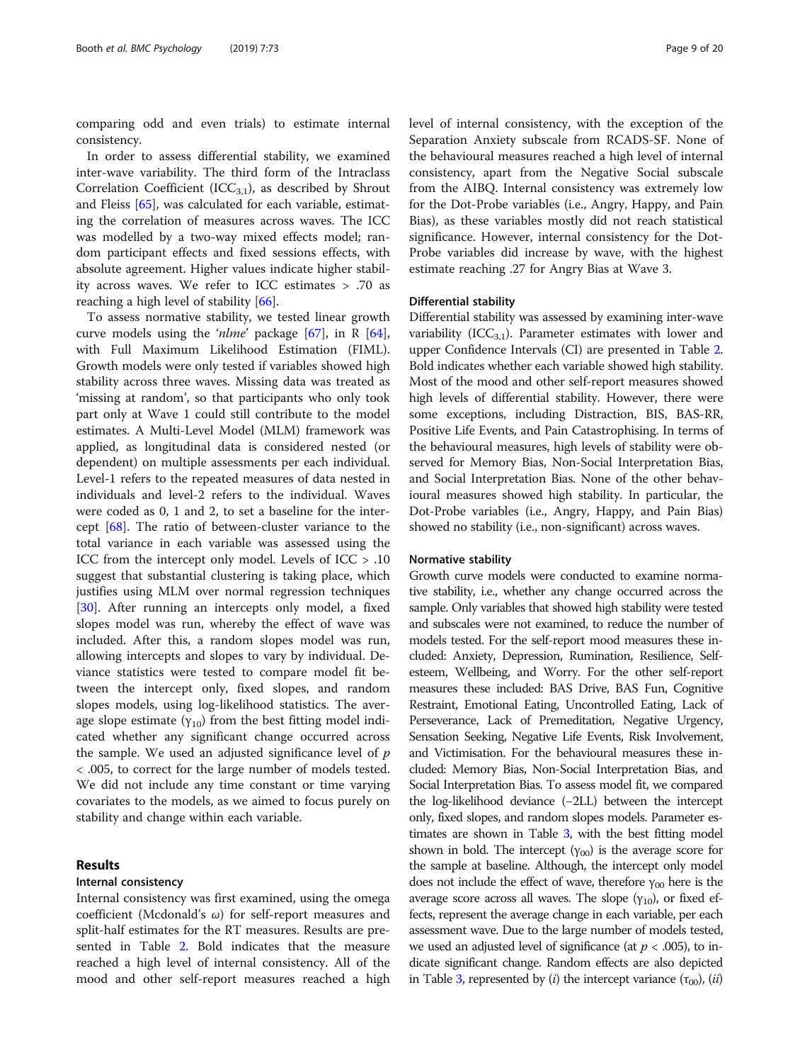comparing odd and even trials) to estimate internal consistency.

In order to assess differential stability, we examined inter-wave variability. The third form of the Intraclass Correlation Coefficient (ICC $_{3,1}$ ), as described by Shrout and Fleiss [\[65](#page-19-0)], was calculated for each variable, estimating the correlation of measures across waves. The ICC was modelled by a two-way mixed effects model; random participant effects and fixed sessions effects, with absolute agreement. Higher values indicate higher stability across waves. We refer to ICC estimates > .70 as reaching a high level of stability [[66\]](#page-19-0).

To assess normative stability, we tested linear growth curve models using the 'nlme' package [[67](#page-19-0)], in R [\[64](#page-19-0)], with Full Maximum Likelihood Estimation (FIML). Growth models were only tested if variables showed high stability across three waves. Missing data was treated as 'missing at random', so that participants who only took part only at Wave 1 could still contribute to the model estimates. A Multi-Level Model (MLM) framework was applied, as longitudinal data is considered nested (or dependent) on multiple assessments per each individual. Level-1 refers to the repeated measures of data nested in individuals and level-2 refers to the individual. Waves were coded as 0, 1 and 2, to set a baseline for the intercept [[68](#page-19-0)]. The ratio of between-cluster variance to the total variance in each variable was assessed using the ICC from the intercept only model. Levels of ICC > .10 suggest that substantial clustering is taking place, which justifies using MLM over normal regression techniques [[30\]](#page-18-0). After running an intercepts only model, a fixed slopes model was run, whereby the effect of wave was included. After this, a random slopes model was run, allowing intercepts and slopes to vary by individual. Deviance statistics were tested to compare model fit between the intercept only, fixed slopes, and random slopes models, using log-likelihood statistics. The average slope estimate  $(y_{10})$  from the best fitting model indicated whether any significant change occurred across the sample. We used an adjusted significance level of  $p$ < .005, to correct for the large number of models tested. We did not include any time constant or time varying covariates to the models, as we aimed to focus purely on stability and change within each variable.

# Results

#### Internal consistency

Internal consistency was first examined, using the omega coefficient (Mcdonald's  $\omega$ ) for self-report measures and split-half estimates for the RT measures. Results are presented in Table [2](#page-9-0). Bold indicates that the measure reached a high level of internal consistency. All of the mood and other self-report measures reached a high level of internal consistency, with the exception of the Separation Anxiety subscale from RCADS-SF. None of the behavioural measures reached a high level of internal consistency, apart from the Negative Social subscale from the AIBQ. Internal consistency was extremely low for the Dot-Probe variables (i.e., Angry, Happy, and Pain Bias), as these variables mostly did not reach statistical significance. However, internal consistency for the Dot-Probe variables did increase by wave, with the highest estimate reaching .27 for Angry Bias at Wave 3.

# Differential stability

Differential stability was assessed by examining inter-wave variability (ICC<sub>3,1</sub>). Parameter estimates with lower and upper Confidence Intervals (CI) are presented in Table [2](#page-9-0). Bold indicates whether each variable showed high stability. Most of the mood and other self-report measures showed high levels of differential stability. However, there were some exceptions, including Distraction, BIS, BAS-RR, Positive Life Events, and Pain Catastrophising. In terms of the behavioural measures, high levels of stability were observed for Memory Bias, Non-Social Interpretation Bias, and Social Interpretation Bias. None of the other behavioural measures showed high stability. In particular, the Dot-Probe variables (i.e., Angry, Happy, and Pain Bias) showed no stability (i.e., non-significant) across waves.

## Normative stability

Growth curve models were conducted to examine normative stability, i.e., whether any change occurred across the sample. Only variables that showed high stability were tested and subscales were not examined, to reduce the number of models tested. For the self-report mood measures these included: Anxiety, Depression, Rumination, Resilience, Selfesteem, Wellbeing, and Worry. For the other self-report measures these included: BAS Drive, BAS Fun, Cognitive Restraint, Emotional Eating, Uncontrolled Eating, Lack of Perseverance, Lack of Premeditation, Negative Urgency, Sensation Seeking, Negative Life Events, Risk Involvement, and Victimisation. For the behavioural measures these included: Memory Bias, Non-Social Interpretation Bias, and Social Interpretation Bias. To assess model fit, we compared the log-likelihood deviance (−2LL) between the intercept only, fixed slopes, and random slopes models. Parameter estimates are shown in Table [3](#page-12-0), with the best fitting model shown in bold. The intercept  $(\gamma_{00})$  is the average score for the sample at baseline. Although, the intercept only model does not include the effect of wave, therefore  $\gamma_{00}$  here is the average score across all waves. The slope  $(y_{10})$ , or fixed effects, represent the average change in each variable, per each assessment wave. Due to the large number of models tested, we used an adjusted level of significance (at  $p < .005$ ), to indicate significant change. Random effects are also depicted in Table [3](#page-12-0), represented by (*i*) the intercept variance ( $\tau_{00}$ ), (*ii*)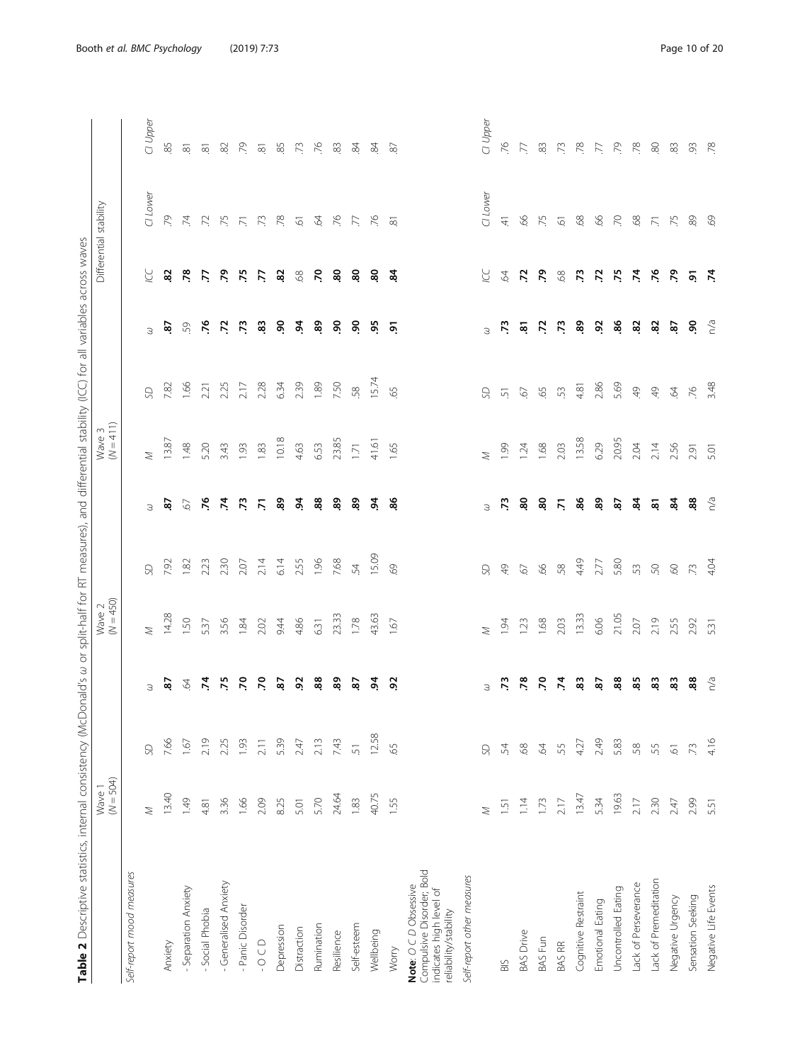| i                          |
|----------------------------|
| )<br>)<br>)<br>)           |
|                            |
|                            |
|                            |
|                            |
| l<br>$\overline{ }$        |
|                            |
|                            |
| $\ddot{\phantom{a}}$       |
|                            |
|                            |
|                            |
|                            |
|                            |
|                            |
|                            |
|                            |
|                            |
| i                          |
|                            |
| $\ddot{\phantom{a}}$       |
|                            |
|                            |
|                            |
|                            |
|                            |
|                            |
|                            |
|                            |
| I<br>J                     |
|                            |
|                            |
|                            |
|                            |
| $\vdots$                   |
|                            |
| I<br>j                     |
|                            |
|                            |
|                            |
|                            |
| Ĵ<br>i                     |
|                            |
| I                          |
| i                          |
|                            |
| i<br>7                     |
| Ì                          |
| j<br>j                     |
|                            |
|                            |
| j<br>ċ                     |
| j                          |
|                            |
|                            |
|                            |
|                            |
|                            |
|                            |
|                            |
| ĺ                          |
|                            |
|                            |
|                            |
|                            |
|                            |
|                            |
|                            |
|                            |
|                            |
| J                          |
|                            |
|                            |
|                            |
|                            |
|                            |
|                            |
|                            |
|                            |
| ١                          |
|                            |
|                            |
|                            |
|                            |
|                            |
|                            |
|                            |
|                            |
|                            |
| )<br>)<br>)<br>)           |
|                            |
|                            |
| J                          |
|                            |
| $\overline{a}$             |
|                            |
|                            |
|                            |
| interna                    |
|                            |
| j<br>į                     |
|                            |
| J                          |
|                            |
|                            |
|                            |
|                            |
|                            |
|                            |
|                            |
|                            |
|                            |
|                            |
| י<br>נ                     |
|                            |
| ١<br>I                     |
| I                          |
|                            |
|                            |
|                            |
| $\frac{a}{2}$<br>Ï<br>ׇ֚֕֡ |

<span id="page-9-0"></span>

| Table 2 Descriptive statistics, internal consistency (McDonald's w or split-half for RT measures), and differential stability (ICC) for all variables across waves | $(N = 504)$<br>Wave |                           |                | Wave 2<br>$(N = 450)$ |                       |                       | $(N = 411)$<br>Wave 3 |                |                 |                           | Differential stability |                     |
|--------------------------------------------------------------------------------------------------------------------------------------------------------------------|---------------------|---------------------------|----------------|-----------------------|-----------------------|-----------------------|-----------------------|----------------|-----------------|---------------------------|------------------------|---------------------|
| Self-report mood measures                                                                                                                                          |                     |                           |                |                       |                       |                       |                       |                |                 |                           |                        |                     |
|                                                                                                                                                                    | $\geq$              | SD                        | З              | Z                     | SD                    | З                     | $\geq$                | S              | З               | 57                        | CI Lower               | Cl Upper            |
| Anxiety                                                                                                                                                            | 13.40               | 7.66                      | 29             | 14.28                 | 7.92                  | 87                    | 13.87                 | 7.82           | 29              | 85                        | 79                     | 85                  |
| - Separation Anxiety                                                                                                                                               | 1.49                | 1.67                      | $\mathcal{Z}$  | 1.50                  | 1.82                  | 67                    | 1.48                  | 1.66           | S <sub>O</sub>  | $^{78}$                   | $\overline{z}$         | $\overline{\infty}$ |
| - Social Phobia                                                                                                                                                    | 4.81                | 2.19                      | $\overline{7}$ | 5.37                  | 2.23                  | 76                    | 5.20                  | 2.21           | 76              | Ľ.                        | $\overline{z}$         | $\overline{\infty}$ |
| - Generalised Anxiety                                                                                                                                              | 3.36                | 2.25                      | .75            | 3.56                  | 2.30                  | $\overline{7}$        | 3.43                  | 2.25           | $\overline{z}$  | ξŚ                        | 75                     | 8                   |
| - Panic Disorder                                                                                                                                                   | 1.66                | 1.93                      | Σņ             | 1.84                  | 2.07                  | $\tilde{\mathcal{L}}$ | 1.93                  | 2.17           | 13              | $\overline{75}$           | $\overline{2}$         | P,                  |
| $-0C$                                                                                                                                                              | 2.09                | 2.11                      | $\overline{5}$ | 2.02                  | 2.14                  | $\overline{5}$        | 1.83                  | 2.28           | 83              | Ľ.                        | 73                     | $\overline{\infty}$ |
| Depression                                                                                                                                                         | 8.25                | 5.39                      | 5              | 9.44                  | 6.14                  | 89                    | 10.18                 | 6.34           | <u>ွ</u>        | 82                        | 78                     | 85                  |
| Distraction                                                                                                                                                        | 5.01                | 2.47                      | $\overline{5}$ | 4.86                  | 2.55                  | $\ddot{a}$            | 4.63                  | 2.39           | $\ddot{a}$      | 68                        | $\overline{6}$         | 73                  |
| Rumination                                                                                                                                                         | 5.70                | 2.13                      | 88             | 6.31                  | 1.96                  | 88                    | 6.53                  | 1.89           | 89              | ξ.                        | $\mathcal{L}$          | 76                  |
| Resilience                                                                                                                                                         | 24.64               | 7.43                      | 89             | 23.33                 | 7.68                  | 89                    | 23.85                 | 7.50           | န္ပ             | 8                         | 76                     | 83                  |
| Self-esteem                                                                                                                                                        | 1.83                | $\overline{5}$            | 2              | 1.78                  | 54                    | 89                    | $171\,$               | 58             | <u>ွ</u>        | 8                         | 77                     | 24                  |
| Wellbeing                                                                                                                                                          | 40.75               | 12.58                     | 3              | 43.63                 | 15.09                 | 3                     | 41.61                 | 15.74          | 56              | 8                         | 76                     | 84                  |
| Worry                                                                                                                                                              | 1.55                | 65                        | S,             | 1.67                  | 69                    | 86                    | 1.65                  | 59             | Σó              | s,                        | $\overline{\infty}$    | $\frac{8}{2}$       |
| Compulsive Disorder; Bold<br>Note: O C D Obsessive<br>indicates high level of<br>reliability/stability                                                             |                     |                           |                |                       |                       |                       |                       |                |                 |                           |                        |                     |
| Self-report other measures                                                                                                                                         |                     |                           |                |                       |                       |                       |                       |                |                 |                           |                        |                     |
|                                                                                                                                                                    | Z                   | SD                        | З              | $\geq$                | SD                    | З                     | Z                     | S              | З               | S                         | Cl Lower               | Cl Upper            |
| $BIS$                                                                                                                                                              | 1.51                | 54                        | $\overline{r}$ | 1.94                  | $\frac{9}{4}$         | $\overline{73}$       | 1.99                  | $\overline{5}$ | $\overline{r}$  | $\widetilde{\mathcal{A}}$ | $\overline{4}$         | 76                  |
| <b>BAS Drive</b>                                                                                                                                                   | 1.14                | $68$                      | .78            | 1.23                  | 67                    | 80                    | 1.24                  | 67             | <u>ន</u>        | $\ddot{z}$                | $\mathcal{S}$          | Z.                  |
| BAS Fun                                                                                                                                                            | 1.73                | $\widetilde{\mathcal{A}}$ | ς.             | 1.68                  | 8 <sup>o</sup>        | 80                    | 1.68                  | 65             | $\ddot{z}$      | ξŚ,                       | 75                     | 83                  |
| <b>BAS RR</b>                                                                                                                                                      | 2.17                | 55                        | $\overline{7}$ | 2.03                  | 58                    | $\overline{5}$        | 2.03                  | 53             | $\overline{73}$ | 68                        | Ğ                      | 73                  |
| Cognitive Restraint                                                                                                                                                | 13.47               | 4.27                      | 83             | 13.33                 | 4.49                  | 86                    | 13.58                 | 4.81           | 89              | 13                        | $\frac{8}{2}$          | 78                  |
| Emotional Eating                                                                                                                                                   | 5.34                | 2.49                      | $\mathbf{g}$   | 6.06                  | 2.77                  | 89                    | 6.29                  | 2.86           | $\overline{9}$  | $\ddot{z}$                | 66                     | Z                   |
| Uncontrolled Eating                                                                                                                                                | 19.63               | 5.83                      | 88             | 21.05                 | 5.80                  | $\overline{8}$        | 20.95                 | 5.69           | 86              | .75                       | S.                     | P.                  |
| Lack of Perseverance                                                                                                                                               | 2.17                | 58                        | 85             | 2.07                  | 53                    | $\overline{a}$        | 2.04                  | $\frac{9}{4}$  | 82              | $\overline{z}$            | 68                     | 78                  |
| Lack of Premeditation                                                                                                                                              | 2.30                | 55                        | 3              | 2.19                  | SO,                   | $\overline{8}$        | 2.14                  | $\frac{9}{4}$  | 82              | 76                        | $\overline{N}$         | 80                  |
| Negative Urgency                                                                                                                                                   | 2.47                | $\overline{\circ}$        | 83             | 2.55                  | $\odot$               | $\mathbf{g}$          | 2.56                  | 64             | $\overline{8}$  | ξŚ                        | 75                     | 83                  |
| Sensation Seeking                                                                                                                                                  | 2.99                | 73                        | 88             | 2.92                  | $\tilde{\mathcal{L}}$ | 88                    | 2.91                  | 76             | <u>န</u>        | δņ                        | 89                     | 93                  |
| Negative Life Events                                                                                                                                               | 5.51                | 4.16                      | n/a            | 5.31                  | 4.04                  | $\Gamma_{\alpha}$     | 5.01                  | 3.48           | n/a             | $\overline{z}$            | 69                     | .78                 |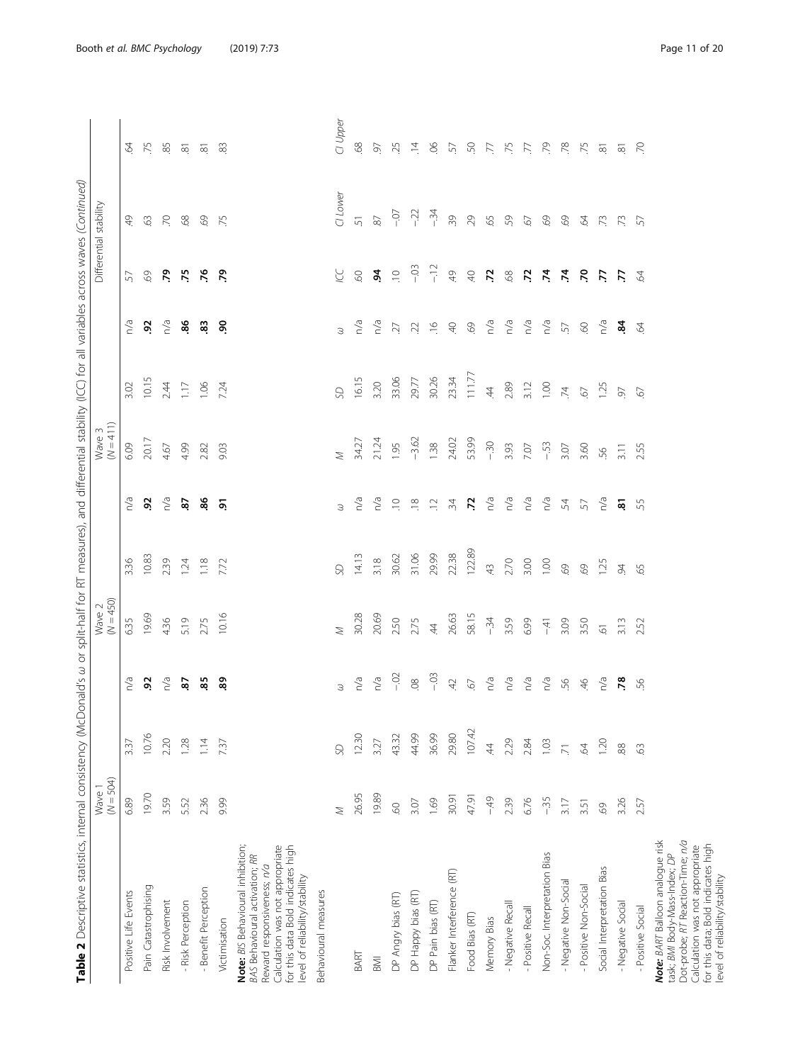| Table 2 Descriptive statistics, internal consistency (McDonald's w or split-half for RT measures), and differential stability (ICC) for all variables across waves (Continued)                                                      | $(N = 504)$<br>Wave |                       |                | Wave 2<br>( $N = 450$ )<br>Wave |                             |                   | $(N = 411)$<br>Wave : |                          |                  |                | Differential stability     |                           |
|-------------------------------------------------------------------------------------------------------------------------------------------------------------------------------------------------------------------------------------|---------------------|-----------------------|----------------|---------------------------------|-----------------------------|-------------------|-----------------------|--------------------------|------------------|----------------|----------------------------|---------------------------|
| Positive Life Events                                                                                                                                                                                                                | 6.89                | 3.37                  | n/a            | 6.35                            | 3.36                        | n/a               | 6.09                  | 3.02                     | n/a              | $\tilde{5}$    | 49                         | $\widetilde{\mathcal{A}}$ |
| Pain Catastrophising                                                                                                                                                                                                                | 19.70               | 10.76                 | $\ddot{9}$     | 19.69                           | 10.83                       | $\overline{5}$    | 20.17                 | 10.15                    | 92               | $69$           | 63                         | 75                        |
| Risk Involvement                                                                                                                                                                                                                    | 3.59                | 2.20                  | n/a            | 4.36                            | 2.39                        | n/a               | 4.67                  | 2.44                     | n/a              | Ŗ.             | $\tilde{C}$                | 85                        |
| - Risk Perception                                                                                                                                                                                                                   | 5.52                | 1.28                  | $\overline{8}$ | 5.19                            | 1.24                        | $\overline{8}$    | 4.99                  | 1.17                     | 86               | $\overline{5}$ | 68                         | $\overline{\infty}$       |
| - Benefit Perception                                                                                                                                                                                                                | 2.36                | 1.14                  | 85             | 2.75                            | 1.18                        | 86                | 2.82                  | 1.06                     | 83               | 76             | $69$                       | $\overline{\infty}$       |
| Victimisation                                                                                                                                                                                                                       | 9.99                | 7.37                  | 89             | 10.16                           | 7.72                        | $\overline{5}$    | 9.03                  | 7.24                     | $\frac{8}{2}$    | ξŚ,            | 75                         | 83                        |
| Note: BIS Behavioural inhibition;<br>for this data Bold indicates high<br>Calculation was not appropriate<br>BAS Behavioural activation; RR<br>Reward responsiveness; n/a<br>level of reliability/stability<br>Behavioural measures |                     |                       |                |                                 |                             |                   |                       |                          |                  |                |                            |                           |
|                                                                                                                                                                                                                                     | Z                   | SD                    | З              | $\lesssim$                      | SQ                          | З                 | $\gtrsim$             | S <sub>D</sub>           | З                | 5              | CI Lower                   | Cl Upper                  |
| BART                                                                                                                                                                                                                                | 26.95               | 12.30                 | n/a            | 30.28                           | 14.13                       | n/a               | 34.27                 | 16.15                    | $\sum_{i=1}^{n}$ | $\odot$        | $\overline{5}$             | 68                        |
| BMI                                                                                                                                                                                                                                 | 19.89               | 3.27                  | n/a            | 20.69                           | 3.18                        | n/a               | 21.24                 | 3.20                     | n/a              | si.            | 87                         | G.                        |
| DP Angry bias (RT)                                                                                                                                                                                                                  | $\odot$             | 43.32                 | $-0.2$         | 2.50                            | 30.62                       | $\Xi$             | 1.95                  | 33.06                    | 27               | $\supseteq$    | $-5$                       | 25                        |
| DP Happy bias (RT)                                                                                                                                                                                                                  | 3.07                | 44.99                 | $\infty$       | 2.75                            | 31.06                       | $\approx$         | $-3.62$               | 29.77                    | 22               | $-03$          | $-22$                      | $\overline{4}$            |
| DP Pain bias (RT)                                                                                                                                                                                                                   | 1.69                | 36.99                 | $-03$          | $\overline{4}$                  | 29.99                       | $\Xi$             | 1.38                  | 30.26                    | $\frac{9}{1}$    | $\frac{2}{1}$  | $-34$                      | 8                         |
| Flanker Interference (RT)                                                                                                                                                                                                           | 30.91               | 29.80                 | $42$           | 26.63                           | 22.38                       | $\mathcal{L}$     | 24.02                 | 23.34                    | $\triangleq$     | $\frac{Q}{T}$  | $\mathcal{S}^{\mathbb{C}}$ | $5\overline{)}$           |
| Food Bias (RT)                                                                                                                                                                                                                      | 47.91               | 107.42                | $\rm 67$       | 58.15                           | 122.89                      | $\overline{z}$    | 53.99                 | 111.77                   | $69$             | $40^{\circ}$   | 29                         | SO.                       |
| Memory Bias                                                                                                                                                                                                                         | $-49$               | $\dot{4}$             | n/a            | $-34$                           | $43$                        | $\Gamma_{\alpha}$ | $-30$                 | $\overline{4}$           | n/a              | $\ddot{z}$     | 65                         | Z.                        |
| - Negative Recall                                                                                                                                                                                                                   | 2.39                | 2.29                  | n/a            | 3.59                            | 2.70                        | n/a               | 3.93                  | 2.89                     | n/a              | $68$           | 59                         | 75                        |
| - Positive Recall                                                                                                                                                                                                                   | 6.76                | 2.84                  | n/a            | 6.99                            | 3.00                        | $\Gamma_{\alpha}$ | 7.07                  | 3.12                     | n/a              | $\ddot{z}$     | $\mathcal{O}$              | $\overline{\mathcal{L}}$  |
| Non-Soc. Interpretation Bias                                                                                                                                                                                                        | $-35$               | 1.03                  | n/a            | $-41$                           | $\sum_{i=1}^{n}$            | n/a               | $-53$                 | $\sum_{i=1}^{n}$         | n/a              | $\overline{5}$ | 69                         | $\tilde{\mathcal{L}}$     |
| - Negative Non-Social                                                                                                                                                                                                               | 3.17                | $\overline{\Sigma}$   | SG.            | 3.09                            | $69$                        | $\mathbb{Z}$      | 3.07                  | $\overline{\mathcal{A}}$ | $5\overline{)}$  | $\ddot{z}$     | 69                         | $\overline{78}$           |
| - Positive Non-Social                                                                                                                                                                                                               | 3.51                | $\tilde{\mathcal{Z}}$ | 46             | 3.50                            | $\mathcal{S}^{\mathcal{O}}$ | 5                 | 3.60                  | $\delta$                 | $\odot$          | ξ.             | $\mathcal{Z}$              | 75                        |
| Social Interpretation Bias                                                                                                                                                                                                          | 69                  | 1.20                  | n/a            | $\overline{6}$                  | 1.25                        | n/a               | 56                    | 1.25                     | n/a              | Ľ.             | 73                         | $\overline{\infty}$       |
| - Negative Social                                                                                                                                                                                                                   | 3.26                | $88$                  | 78             | 3.13                            | 84                          | <u>ଚ</u>          | 3.11                  | 56                       | ಹ                | É.             | $\mathcal{L}$              | $\overline{\infty}$       |
| - Positive Social                                                                                                                                                                                                                   | 2.57                | 63                    | 56             | 2.52                            | 65                          | 55                | 2.55                  | 67                       | $\mathcal{R}$    | $\mathcal{Z}$  | $\tilde{c}$                | R.                        |
| Dot-probe; RT Reaction-Time; n/a<br>Note: BART Balloon analogue risk<br>for this data; Bold indicates high<br>Calculation was not appropriate<br>task; BMI Body-Mass-Index; DP<br>level of reliability/stability                    |                     |                       |                |                                 |                             |                   |                       |                          |                  |                |                            |                           |

Booth et al. BMC Psychology (2019) 7:73 Page 11 of 20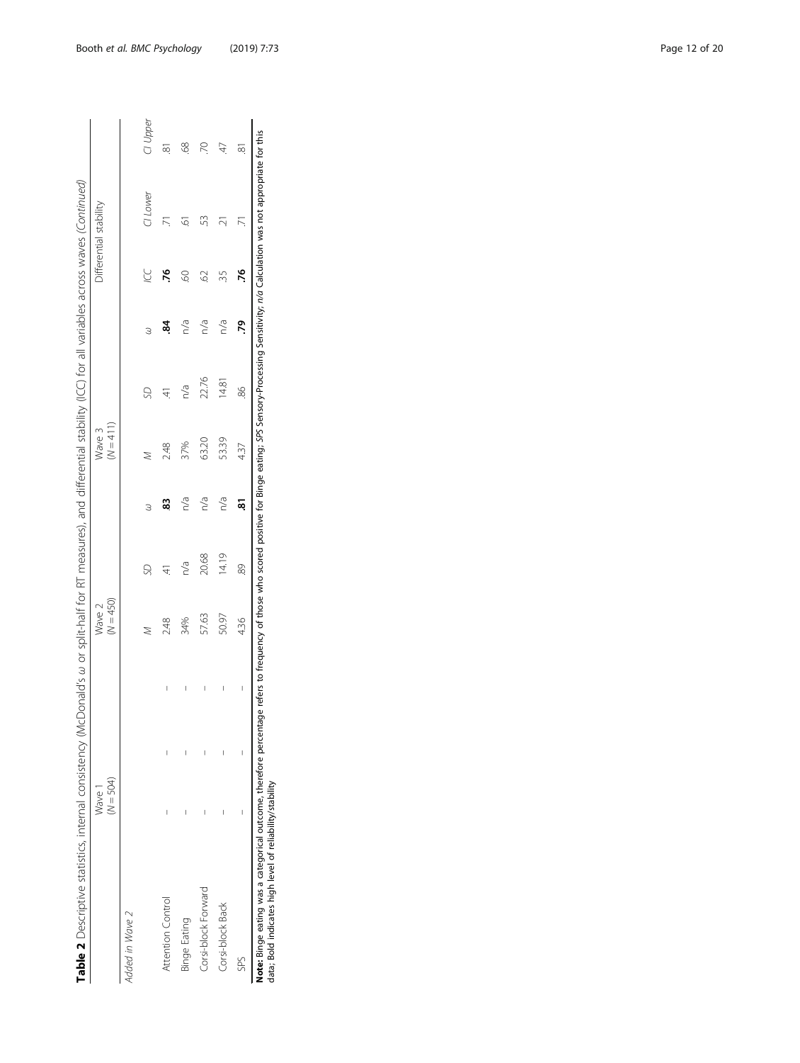| Table 2 Descriptive statistics, internal consistency (McDonald's w or split-half for RT measures), and differential stability (ICC) for all variables across waves (Continued) |                       |             |                       |                |             |                       |               |     |               |                        |                 |
|--------------------------------------------------------------------------------------------------------------------------------------------------------------------------------|-----------------------|-------------|-----------------------|----------------|-------------|-----------------------|---------------|-----|---------------|------------------------|-----------------|
|                                                                                                                                                                                | $(N = 504)$<br>Wave 1 |             | $(N = 450)$<br>Wave 2 |                |             | $(N = 411)$<br>Wave 3 |               |     |               | Differential stability |                 |
| Added in Wave 2                                                                                                                                                                |                       |             |                       |                |             |                       |               |     |               |                        |                 |
|                                                                                                                                                                                |                       |             | Z                     | S              | з           | Z                     | S             | з   | Š             | <b>CI Lower</b>        | Cl Upper        |
| Attention Control                                                                                                                                                              |                       | I           | 248                   | $\overline{4}$ | 83          | 2.48                  | ₹.            | 84  | 8.            |                        | ಹ               |
| Binge Eating                                                                                                                                                                   |                       | I           | 34%                   | n/a            | n/a         | 37%                   | $\frac{a}{a}$ | n/a | 8             | 6                      | 68              |
| Corsi-block Forward                                                                                                                                                            |                       | I           | 57.63                 | 20.68          | n/a         | 63.20                 | 22.76         | n/a | S.            | 53                     | R.              |
| Corsi-block Back                                                                                                                                                               |                       |             | 50.97                 | 14.19          | n/a         | 53.39                 | 14.81         | n/a | 35            |                        | $\overline{47}$ |
| SPS                                                                                                                                                                            | I                     | I           | 4.36                  | 89             | œ.          | 437                   | 86            | 79  | 26.           |                        | ಹ               |
|                                                                                                                                                                                |                       | .<br>.<br>. | $\ddot{\phantom{0}}$  |                | .<br>.<br>. | י<br>יינו             | d             | j   | $\frac{1}{2}$ |                        | $\ddot{a}$      |

Note: Binge eating was a categorical outcome, therefore percentage refers to frequency of those who scored positive for Binge eating; SPS Sensory-Processing Sensitivity; n/a Calculation was not appropriate for this<br>data; B Note: Binge eating was a categorical outcome, therefore percentage refers to frequency of those who scored positive for Binge eating; Sensory-Processing Sensitivity; n/a Calculation was not appropriate for this data; Bold indicates high level of reliability/stability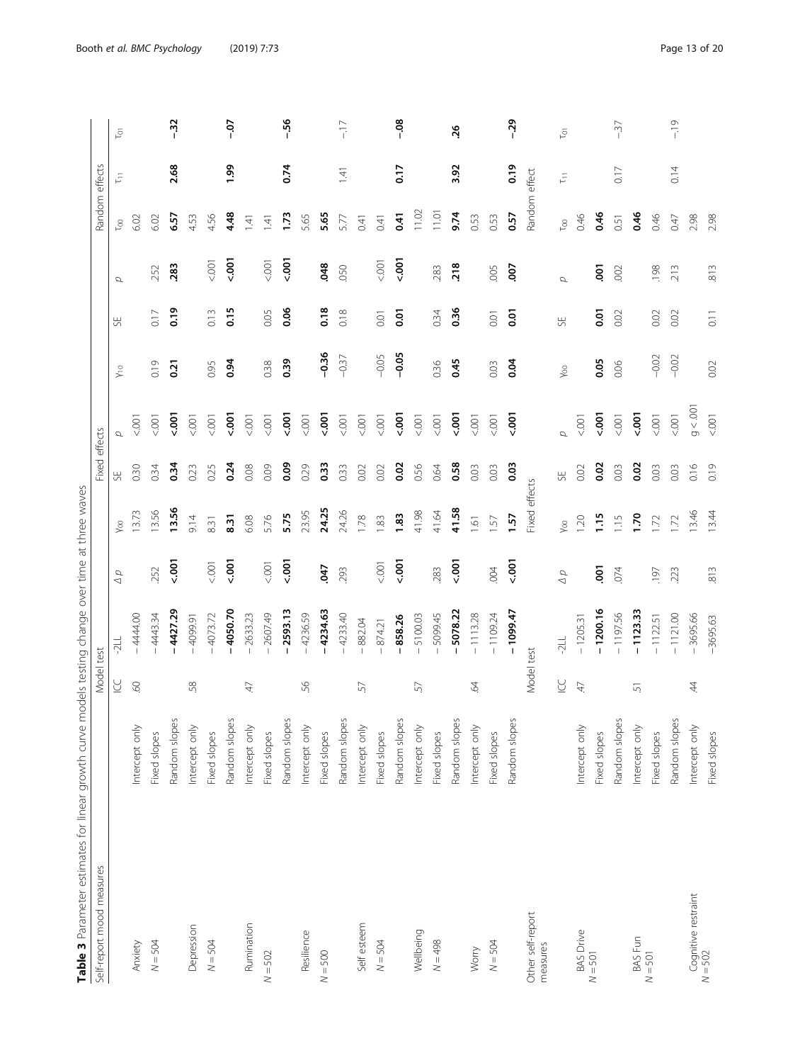| j                          |
|----------------------------|
|                            |
|                            |
|                            |
| $\frac{1}{2}$              |
|                            |
| j                          |
|                            |
|                            |
|                            |
|                            |
| )<br>)                     |
| 1                          |
| $\overline{)}$             |
| ミリ<br>$\frac{1}{2}$        |
|                            |
| くく<br>$\overline{)}$<br>İ, |
|                            |
| י<br>י                     |
| こっ                         |
|                            |
| うりり                        |
|                            |
| .<br>ر<br>ļ                |
| $\frac{1}{2}$              |
|                            |
| いろくろ ひこころ ひまころとろ とり        |
|                            |
|                            |
| ١                          |
|                            |
| $\frac{3}{2}$              |
|                            |
| $\frac{1}{2}$              |
|                            |
| ことこ                        |
| י<br>י                     |
| うり                         |
|                            |
|                            |
| ز                          |
| Ì                          |
|                            |
| $\overline{\phantom{a}}$   |
| $\frac{1}{2}$<br>¢         |
| $\vdots$<br>l              |
| í                          |
| I                          |

<span id="page-12-0"></span>

| Table 3 Parameter estimates for linear growth curve models testing change over time at three waves |                |             |            |                             |               |       |             |            |                  |              |                |                    |                    |
|----------------------------------------------------------------------------------------------------|----------------|-------------|------------|-----------------------------|---------------|-------|-------------|------------|------------------|--------------|----------------|--------------------|--------------------|
| Self-report mood measures                                                                          |                | Model test  |            |                             |               | Fixed | effects     |            |                  |              | Random effects |                    |                    |
|                                                                                                    |                | $\subseteq$ | $-211$     | $\sigma$<br>$\triangleleft$ | yoo           | 5E    | d           | $Y_{10}$   | 55               | σ            | $\rm{^{10}}$   | $\overline{1}$     | $\bar{\mathbb{P}}$ |
| Anxiety                                                                                            | Intercept only | $\odot$     | $-4444.00$ |                             | 13.73         | 0.30  | $500 - 75$  |            |                  |              | 6.02           |                    |                    |
| $N = 504$                                                                                          | Fixed slopes   |             | $-4443.34$ | 252                         | 13.56         | 0.34  | 5001        | 0.19       | 0.17             | .252         | 6.02           |                    |                    |
|                                                                                                    | Random slopes  |             | $-4427.29$ | 500                         | 13.56         | 0.34  | 500         | 0.21       | 0.19             | 283          | 6.57           | 2.68               | $-32$              |
| Depression                                                                                         | Intercept only | 58          | $-4099.91$ |                             | 9.14          | 0.23  | 5001        |            |                  |              | 4.53           |                    |                    |
| $N = 504$                                                                                          | Fixed slopes   |             | $-4073.72$ | 5.001                       | 831           | 0.25  | 5001        | 0.95       | 0.13             | 5.001        | 4.56           |                    |                    |
|                                                                                                    | Random slopes  |             | 4050.70    | $500 - 7$                   | 8.31          | 0.24  | $-001$      | 0.94       | 0.15             | $-001$       | 4.48           | <b>ec.1</b>        | çi                 |
| Rumination                                                                                         | Intercept only | $47$        | $-2633.23$ |                             | 6.08          | 0.08  | 5001        |            |                  |              | 141            |                    |                    |
| $N = 502$                                                                                          | Fixed slopes   |             | $-2607.49$ | 5001                        | 5.76          | 0.09  | 5001        | 0.38       | 0.05             | 5001         | 141            |                    |                    |
|                                                                                                    | Random slopes  |             | $-2593.13$ | 500.5                       | 5.75          | 0.09  | 500         | 0.39       | 0.06             | $500 - 7$    | 1.73           | 0.74               | $-56$              |
| Resilience                                                                                         | Intercept only | 56          | $-4236.59$ |                             | 23.95         | 0.29  | 5001        |            |                  |              | 5.65           |                    |                    |
| $N = 500$                                                                                          | Fixed slopes   |             | $-4234.63$ | 047                         | 24.25         | 0.33  | $500 - 72$  | $-0.36$    | 0.18             | 048          | 5.65           |                    |                    |
|                                                                                                    | Random slopes  |             | 4233.40    | 293                         | 24.26         | 0.33  | 5.001       | $-0.37$    | 0.18             | .050         | 5.77           | 1,41               | $-17$              |
| Self esteem                                                                                        | Intercept only | 57          | 882.04     |                             | 1.78          | 0.02  | 5001        |            |                  |              | 0.41           |                    |                    |
| $N = 504$                                                                                          | Fixed slopes   |             | $-874.21$  | 5001                        | 1.83          | 0.02  | 5001        | $-0.05$    | 0.01             | 5001         | 0.41           |                    |                    |
|                                                                                                    | Random slopes  |             | $-858.26$  | 500.5                       | 1.83          | 0.02  | $500 - 7$   | $-0.05$    | 0.01             | $rac{50}{5}$ | 0.41           | $\overline{0.17}$  | $-0.8$             |
| Wellbeing                                                                                          | Intercept only | 57          | $-5100.03$ |                             | 41.98         | 0.56  | 5001        |            |                  |              | 11.02          |                    |                    |
| $N = 498$                                                                                          | Fixed slopes   |             | $-5099.45$ | .283                        | 41.64         | 0.64  | 5.001       | 0.36       | 0.34             | 283          | 11.01          |                    |                    |
|                                                                                                    | Random slopes  |             | 5078.22    | $500 - 7$                   | 41.58         | 0.58  | $-001$      | 0.45       | 0.36             | 218          | 9.74           | 3.92               | 26                 |
| Worry                                                                                              | Intercept only | S.          | $-1113.28$ |                             | 1.61          | 0.03  | 5001        |            |                  |              | 0.53           |                    |                    |
| $N = 504$                                                                                          | Fixed slopes   |             | $-1109.24$ | .004                        | 1.57          | 0.03  | 5001        | 0.03       | 0.01             | .005         | 0.53           |                    |                    |
|                                                                                                    | Random slopes  |             | $-1099.47$ | 500.5                       | 1.57          | 0.03  | $500 - 2$   | 0.04       | 0.01             | 00           | 0.57           | 0.19               | $-29$              |
| Other self-report<br>measures                                                                      |                | Model test  |            |                             | Fixed effects |       |             |            |                  |              | Random effect  |                    |                    |
|                                                                                                    |                | $\subseteq$ | $-2LL$     | $\sigma_{\nabla}$           | $\sqrt{8}$    | 5E    |             | $\sqrt{8}$ | U                | $\sigma$     | $\rm{^{10}}$   | $\bar{\mathbb{H}}$ | $\bar{\mathbb{P}}$ |
| <b>BAS Drive</b>                                                                                   | Intercept only | $47$        | $-1205.31$ |                             | 1.20          | 0.02  | $500 - 700$ |            |                  |              | 0.46           |                    |                    |
| $N = 501$                                                                                          | Fixed slopes   |             | $-1200.16$ | 001                         | 1.15          | 0.02  | $500 - 7$   | 0.05       | 0.01             | 001          | 0.46           |                    |                    |
|                                                                                                    | Random slopes  |             | $-1197.56$ | .074                        | 1.15          | 0.03  | 5001        | 0.06       | 0.02             | .002         | 0.51           | $\frac{1}{2}$      | $-37$              |
| BAS Fun                                                                                            | Intercept only | 5           | $-1123.33$ |                             | 1.70          | 0.02  | 500         |            |                  |              | 0.46           |                    |                    |
| $N = 501$                                                                                          | Fixed slopes   |             | $-1122.51$ | .197                        | 1.72          | 0.03  | 5001        | $-0.02$    | 0.02             | .198         | 0.46           |                    |                    |
|                                                                                                    | Random slopes  |             | $-1121.00$ | .223                        | 1.72          | 0.03  | 5001        | $-0.02$    | 0.02             | 213          | 0.47           | 0.14               | $-19$              |
| Cognitive restraint<br>N = 502                                                                     | Intercept only | 4           | $-3695.66$ |                             | 13.46         | 0.16  | $g < .001$  |            |                  |              | 2.98           |                    |                    |
|                                                                                                    | Fixed slopes   |             | $-3695.63$ | 813                         | 13.44         | 0.19  | 5007        | 0.02       | $\overline{0}$ . | 813          | 2.98           |                    |                    |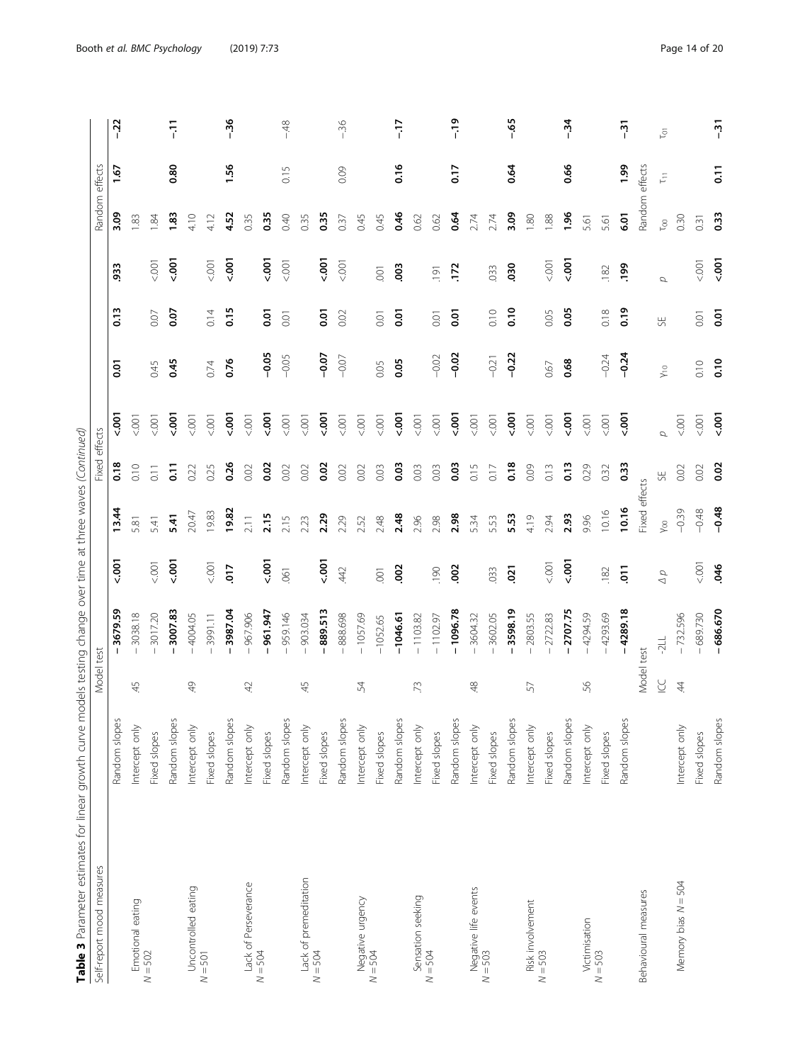| Self-report mood measures         |                | Model test    |            |                   |               | Fixed effects  |             |                                     |                |                | Random effects |                |                    |
|-----------------------------------|----------------|---------------|------------|-------------------|---------------|----------------|-------------|-------------------------------------|----------------|----------------|----------------|----------------|--------------------|
|                                   | Random slopes  |               | 3679.59    | 5001              | 13.44         | 0.18           | $500 - 7$   | 0.01                                | 0.13           | 933            | 3.09           | 1.67           | $-22$              |
| $Emotional$ eating<br>$N = 502$   | Intercept only | 45            | 3038.18    |                   | 5.81          | 0.10           | 5001        |                                     |                |                | 1.83           |                |                    |
|                                   | Fixed slopes   |               | 3017.20    | $500 - 75$        | 5.41          | 0.11           | 5001        | 0.45                                | 0.07           | 5.001          | 1.84           |                |                    |
|                                   | Random slopes  |               | 3007.83    | $500 - 7$         | 5.41          | $\overline{0}$ | $500 -$     | 0.45                                | 0.07           | 500            | 1.83           | 0.80           | 두                  |
| Uncontrolled eating               | Intercept only | $\ddot{ }$    | $-4004.05$ |                   | 20.47         | 0.22           | 5001        |                                     |                |                | 4.10           |                |                    |
| $N = 501$                         | Fixed slopes   |               | 3991.11    | 5.001             | 19.83         | 0.25           | 5001        | 0.74                                | 0.14           | 5001           | 4.12           |                |                    |
|                                   | Random slopes  |               | 3987.04    | $\frac{21}{2}$    | 19.82         | 0.26           | $500 - 70$  | 0.76                                | 0.15           | $500 - 700$    | 4.52           | 1.56           | $-36$              |
| Lack of Perseverance              | Intercept only | 42            | 967.906    |                   | 2.11          | 0.02           | 5001        |                                     |                |                | 0.35           |                |                    |
| $N = 504$                         | Fixed slopes   |               | 961.947    | $500 - 7$         | 2.15          | 0.02           | $500 - 700$ | $-0.05$                             | 0.01           | $500 - 7$      | 0.35           |                |                    |
|                                   | Random slopes  |               | 959.146    | $\overline{5}$    | 2.15          | 0.02           | 5001        | $-0.05$                             | 0.01           | 5001           | 0.40           | 0.15           | $-48$              |
| Lack of premeditation             | Intercept only | 45            | 903.034    |                   | 2.23          | 0.02           | 5001        |                                     |                |                | 0.35           |                |                    |
| $N = 504$                         | Fixed slopes   |               | $-889.513$ | $500 - 700$       | 2.29          | 0.02           | 500         | $-0.07$                             | 0.01           | 500            | 0.35           |                |                    |
|                                   | Random slopes  |               | 888.698    | 442               | 2.29          | 0.02           | 5001        | $-0.07$                             | 0.02           | 5.001          | 0.37           | 0.09           | $-36$              |
| Negative urgency                  | Intercept only | 54            | $-1057.69$ |                   | 2.52          | 0.02           | 5001        |                                     |                |                | 0.45           |                |                    |
| $N = 504$                         | Fixed slopes   |               | $-1052.65$ | $\overline{5}$    | 2.48          | 0.03           | $500 -$     | 0.05                                | 0.01           | $\overline{5}$ | 0.45           |                |                    |
|                                   | Random slopes  |               | $-1046.61$ | 002               | 2.48          | 0.03           | $500 - 2$   | 0.05                                | 0.01           | .003           | 0.46           | 0.16           | $-17$              |
| Sensation seeking                 | Intercept only | 73            | $-1103.82$ |                   | 2.96          | 0.03           | $500 - 75$  |                                     |                |                | 0.62           |                |                    |
| $N = 504$                         | Fixed slopes   |               | $-1102.97$ | 061.              | 2.98          | 0.03           | 5001        | $-0.02$                             | 0.01           | 191            | 0.62           |                |                    |
|                                   | Random slopes  |               | $-1096.78$ | .002              | 2.98          | 0.03           | $500 - 75$  | $-0.02$                             | 0.01           | .172           | 0.64           | 0.17           | <u>ှ</u>           |
| Negative life events<br>$N = 503$ | Intercept only | $\frac{8}{3}$ | 3604.32    |                   | 5.34          | 0.15           | $500 - 75$  |                                     |                |                | 2.74           |                |                    |
|                                   | Fixed slopes   |               | 3602.05    | .033              | 5.53          | 0.17           | $<.001$     | $-0.21$                             | 0.10           | .033           | 2.74           |                |                    |
|                                   | Random slopes  |               | 3598.19    | 021               | 5.53          | 0.18           | $500 - 7$   | $-0.22$                             | $\frac{1}{2}$  | 030            | 3.09           | 0.64           | -.65               |
| Risk involvement                  | Intercept only | 57            | 2803.55    |                   | 4.19          | 0.09           | 5.001       |                                     |                |                | 1.80           |                |                    |
| $N = 503$                         | Fixed slopes   |               | 2722.83    | 5.001             | 2.94          | 0.13           | 5001        | 0.67                                | 0.05           | 5001           | 1.88           |                |                    |
|                                   | Random slopes  |               | $-2707.75$ | $500 - 7$         | 2.93          | 0.13           | $500 - 75$  | 0.68                                | 0.05           | $500 - 7$      | 1.96           | 0.66           | $-34$              |
| Victimisation                     | Intercept only | δŠ.           | 4294.59    |                   | 9.96          | 0.29           | 5.001       |                                     |                |                | 5.61           |                |                    |
| $N = 503$                         | Fixed slopes   |               | $-4293.69$ | .182              | 10.16         | 0.32           | 5001        | $-0.24$                             | 0.18           | .182           | 5.61           |                |                    |
|                                   | Random slopes  |               | $-4289.18$ | $\overline{5}$    | 10.16         | 0.33           | $500 - 7$   | $-0.24$                             | 0.19           | <b>S61</b>     | 6.01           | 1.99           | $\overline{3}$     |
| Behavioural measures              |                | Model test    |            |                   | Fixed effects |                |             |                                     |                |                | Random effects |                |                    |
|                                   |                | $\subseteq$   | $-21$      | $\sigma_{\nabla}$ | $\sqrt{8}$    | SE,            | d           | $\mathsf{Y}^{\mathsf{1}\mathsf{0}}$ | 55             | σ              | $\tau_{00}$    | $\bar{t}$      | $\bar{\mathbb{S}}$ |
| Memory bias $N = 504$             | Intercept only | $\ddot{A}$    | $-732.596$ |                   | $-0.39$       | 0.02           | $<001$      |                                     |                |                | 0.30           |                |                    |
|                                   | Fixed slopes   |               | $-689.730$ | $\leq 001$        | $-0.48$       | $0.02\,$       | $\leq$ .001 | 0.10                                | 0.01           | 5001           | 0.31           |                |                    |
|                                   | Random slopes  |               | $-686.670$ | .046              | $-0.48$       | 0.02           | $500 - 700$ | 0.10                                | $\overline{0}$ | 5001           | 0.33           | $\overline{5}$ | ៊ុ                 |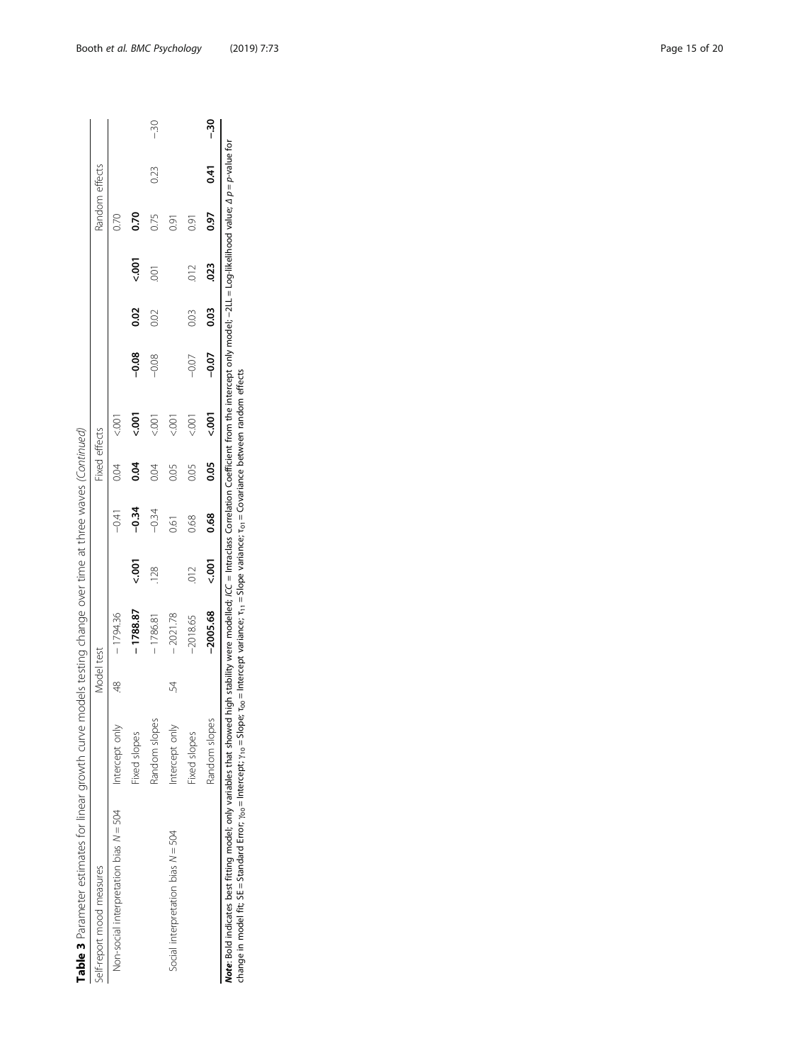| Table 3 Parameter estimates for linear growth curve |                |            | models testing change over time at three waves (Continued) |                |                 |               |         |         |      |                |                |      |       |
|-----------------------------------------------------|----------------|------------|------------------------------------------------------------|----------------|-----------------|---------------|---------|---------|------|----------------|----------------|------|-------|
| Self-report mood measures                           |                | Model test |                                                            |                |                 | Fixed effects |         |         |      |                | Random effects |      |       |
| Non-social interpretation bias $N = 504$            | Intercept only |            | $-1794.36$                                                 |                | $-0.41$         |               |         |         |      |                | 0.70           |      |       |
|                                                     | Fixed slopes   |            | $-1788.87$                                                 | coor           | $-0.34$         | 0.04          | 5<br>ខុ | $-0.08$ | 0.02 | 5001           | 0.70           |      |       |
|                                                     | Random slopes  |            | $-1786.81$                                                 | .128           | $-0.34$         | 0.04          | - 001   | $-0.08$ | 0.02 | $\overline{5}$ | 0.75           | 0.23 | $-30$ |
| Social interpretation bias $N = 504$                | ntercept only  | 54         | $-2021.78$                                                 |                | $\overline{61}$ | 0.05          | 00.     |         |      |                | l<br>GO        |      |       |
|                                                     | Fixed slopes   |            | $-2018.65$                                                 | $\frac{2}{10}$ | 0.68            | 0.05          | 1001    | $-0.07$ | 0.03 | $\frac{2}{2}$  | 0.91           |      |       |
|                                                     | Random slopes  |            | $-2005.68$                                                 | $rac{5}{3}$    | 89.0            | 0.05          | 5007    | $-0.07$ | 0.03 | $\overline{0}$ | 0.97           | 0.41 | $-30$ |

**More**: Bold indicates best fitting model; only variables that showed high stability were modelled; /CC = Intraclass Correlation Coefficient from the intercept only model; –2LL = Log-likelihood value; *Δ p = p-*value for<br>c Note: Bold indicates best fitting model; only variables that showed high stability were modelled; ICC = Intraclass Correlation Coefficient from the intercept only model; −2LL = Log-likelihood value; Δ p = p-value for change in model fit; SE = Standard Error; γ<sub>00</sub> = Intercept; γ<sub>10</sub> = Slope; τ<sub>01</sub> = Slope variance; τ<sub>11</sub> = Slope variance; τ<sub>01</sub> = Covariance between random effects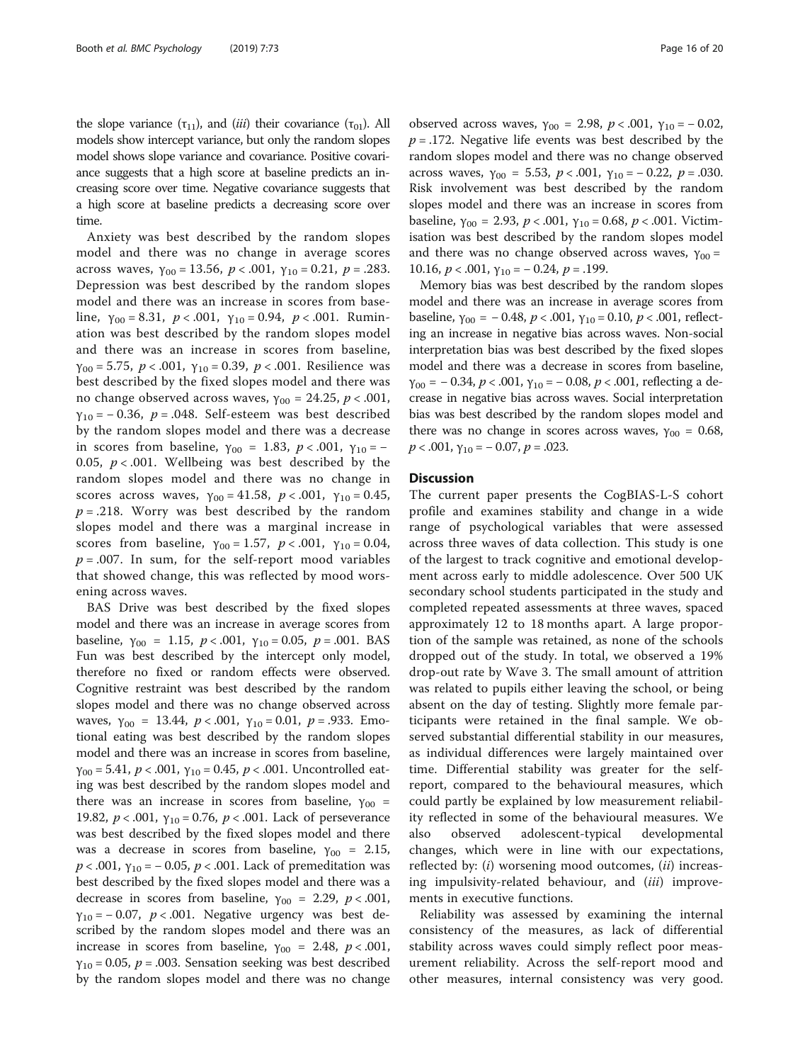the slope variance  $(\tau_{11})$ , and *(iii)* their covariance  $(\tau_{01})$ . All models show intercept variance, but only the random slopes model shows slope variance and covariance. Positive covariance suggests that a high score at baseline predicts an increasing score over time. Negative covariance suggests that a high score at baseline predicts a decreasing score over time.

Anxiety was best described by the random slopes model and there was no change in average scores across waves,  $\gamma_{00} = 13.56$ ,  $p < .001$ ,  $\gamma_{10} = 0.21$ ,  $p = .283$ . Depression was best described by the random slopes model and there was an increase in scores from baseline,  $\gamma_{00} = 8.31$ ,  $p < .001$ ,  $\gamma_{10} = 0.94$ ,  $p < .001$ . Rumination was best described by the random slopes model and there was an increase in scores from baseline,  $γ<sub>00</sub> = 5.75, p < .001, γ<sub>10</sub> = 0.39, p < .001$ . Resilience was best described by the fixed slopes model and there was no change observed across waves, γ<sub>00</sub> = 24.25, *p* < .001,  $\gamma_{10}$  = -0.36, p = .048. Self-esteem was best described by the random slopes model and there was a decrease in scores from baseline,  $γ_{00} = 1.83$ ,  $p < .001$ ,  $γ_{10} = -$ 0.05,  $p < .001$ . Wellbeing was best described by the random slopes model and there was no change in scores across waves,  $\gamma_{00} = 41.58$ ,  $p < .001$ ,  $\gamma_{10} = 0.45$ ,  $p = .218$ . Worry was best described by the random slopes model and there was a marginal increase in scores from baseline,  $\gamma_{00} = 1.57$ ,  $p < .001$ ,  $\gamma_{10} = 0.04$ ,  $p = .007$ . In sum, for the self-report mood variables that showed change, this was reflected by mood worsening across waves.

BAS Drive was best described by the fixed slopes model and there was an increase in average scores from baseline,  $\gamma_{00} = 1.15$ ,  $p < .001$ ,  $\gamma_{10} = 0.05$ ,  $p = .001$ . BAS Fun was best described by the intercept only model, therefore no fixed or random effects were observed. Cognitive restraint was best described by the random slopes model and there was no change observed across waves,  $\gamma_{00} = 13.44$ ,  $p < .001$ ,  $\gamma_{10} = 0.01$ ,  $p = .933$ . Emotional eating was best described by the random slopes model and there was an increase in scores from baseline,  $γ_{00} = 5.41, p < .001, γ_{10} = 0.45, p < .001$ . Uncontrolled eating was best described by the random slopes model and there was an increase in scores from baseline,  $\gamma_{00}$  = 19.82, *p* < .001,  $γ_{10} = 0.76$ , *p* < .001. Lack of perseverance was best described by the fixed slopes model and there was a decrease in scores from baseline,  $\gamma_{00}$  = 2.15,  $p < .001$ , γ<sub>10</sub> = -0.05,  $p < .001$ . Lack of premeditation was best described by the fixed slopes model and there was a decrease in scores from baseline,  $\gamma_{00} = 2.29$ ,  $p < .001$ ,  $\gamma_{10}$  = -0.07,  $p < .001$ . Negative urgency was best described by the random slopes model and there was an increase in scores from baseline,  $\gamma_{00} = 2.48$ ,  $p < .001$ ,  $\gamma_{10}$  = 0.05,  $p$  = .003. Sensation seeking was best described by the random slopes model and there was no change

observed across waves,  $\gamma_{00} = 2.98$ ,  $p < .001$ ,  $\gamma_{10} = -0.02$ ,  $p = 0.172$ . Negative life events was best described by the random slopes model and there was no change observed across waves,  $\gamma_{00} = 5.53$ ,  $p < .001$ ,  $\gamma_{10} = -0.22$ ,  $p = .030$ . Risk involvement was best described by the random slopes model and there was an increase in scores from baseline,  $\gamma_{00} = 2.93$ ,  $p < .001$ ,  $\gamma_{10} = 0.68$ ,  $p < .001$ . Victimisation was best described by the random slopes model and there was no change observed across waves,  $\gamma_{00}$  = 10.16,  $p < .001$ ,  $\gamma_{10} = -0.24$ ,  $p = .199$ .

Memory bias was best described by the random slopes model and there was an increase in average scores from baseline,  $\gamma_{00} = -0.48$ ,  $p < .001$ ,  $\gamma_{10} = 0.10$ ,  $p < .001$ , reflecting an increase in negative bias across waves. Non-social interpretation bias was best described by the fixed slopes model and there was a decrease in scores from baseline,  $\gamma_{00}$  = -0.34, p < .001,  $\gamma_{10}$  = -0.08, p < .001, reflecting a decrease in negative bias across waves. Social interpretation bias was best described by the random slopes model and there was no change in scores across waves,  $\gamma_{00} = 0.68$ ,  $p < .001$ ,  $\gamma_{10} = -0.07$ ,  $p = .023$ .

# **Discussion**

The current paper presents the CogBIAS-L-S cohort profile and examines stability and change in a wide range of psychological variables that were assessed across three waves of data collection. This study is one of the largest to track cognitive and emotional development across early to middle adolescence. Over 500 UK secondary school students participated in the study and completed repeated assessments at three waves, spaced approximately 12 to 18 months apart. A large proportion of the sample was retained, as none of the schools dropped out of the study. In total, we observed a 19% drop-out rate by Wave 3. The small amount of attrition was related to pupils either leaving the school, or being absent on the day of testing. Slightly more female participants were retained in the final sample. We observed substantial differential stability in our measures, as individual differences were largely maintained over time. Differential stability was greater for the selfreport, compared to the behavioural measures, which could partly be explained by low measurement reliability reflected in some of the behavioural measures. We also observed adolescent-typical developmental changes, which were in line with our expectations, reflected by:  $(i)$  worsening mood outcomes,  $(ii)$  increasing impulsivity-related behaviour, and *(iii)* improvements in executive functions.

Reliability was assessed by examining the internal consistency of the measures, as lack of differential stability across waves could simply reflect poor measurement reliability. Across the self-report mood and other measures, internal consistency was very good.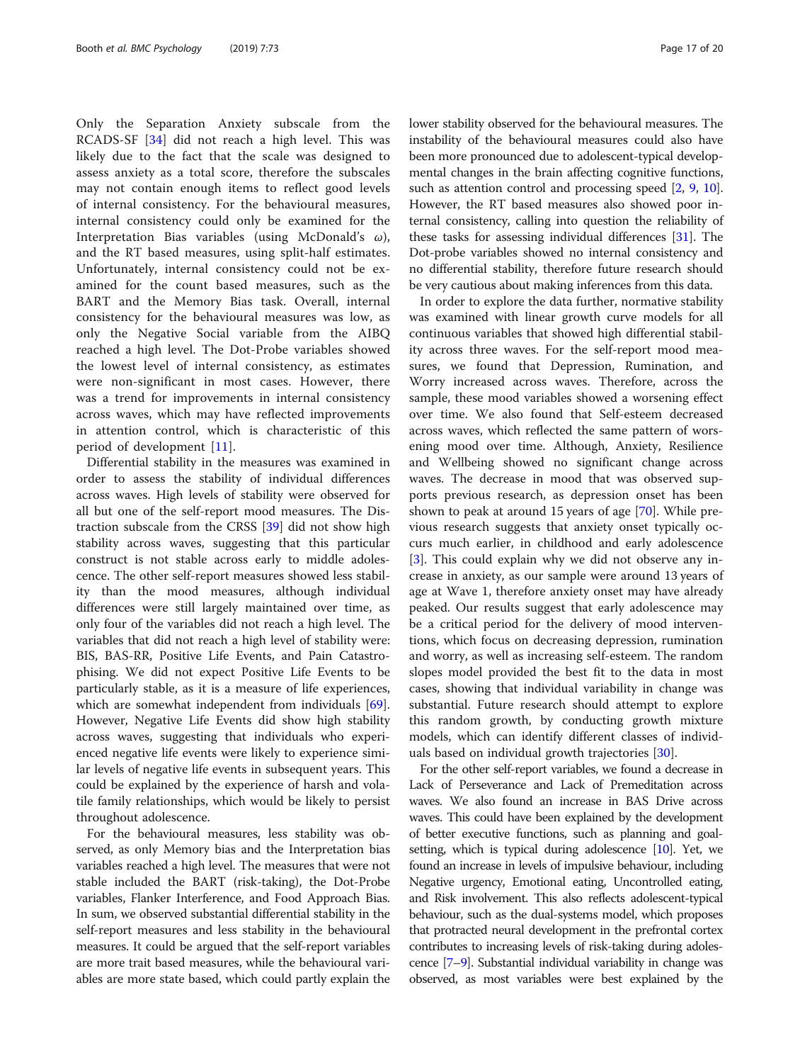Only the Separation Anxiety subscale from the RCADS-SF [[34](#page-19-0)] did not reach a high level. This was likely due to the fact that the scale was designed to assess anxiety as a total score, therefore the subscales may not contain enough items to reflect good levels of internal consistency. For the behavioural measures, internal consistency could only be examined for the Interpretation Bias variables (using McDonald's  $\omega$ ), and the RT based measures, using split-half estimates. Unfortunately, internal consistency could not be examined for the count based measures, such as the BART and the Memory Bias task. Overall, internal consistency for the behavioural measures was low, as only the Negative Social variable from the AIBQ reached a high level. The Dot-Probe variables showed the lowest level of internal consistency, as estimates were non-significant in most cases. However, there was a trend for improvements in internal consistency across waves, which may have reflected improvements in attention control, which is characteristic of this period of development [\[11](#page-18-0)].

Differential stability in the measures was examined in order to assess the stability of individual differences across waves. High levels of stability were observed for all but one of the self-report mood measures. The Distraction subscale from the CRSS [\[39\]](#page-19-0) did not show high stability across waves, suggesting that this particular construct is not stable across early to middle adolescence. The other self-report measures showed less stability than the mood measures, although individual differences were still largely maintained over time, as only four of the variables did not reach a high level. The variables that did not reach a high level of stability were: BIS, BAS-RR, Positive Life Events, and Pain Catastrophising. We did not expect Positive Life Events to be particularly stable, as it is a measure of life experiences, which are somewhat independent from individuals [\[69](#page-19-0)]. However, Negative Life Events did show high stability across waves, suggesting that individuals who experienced negative life events were likely to experience similar levels of negative life events in subsequent years. This could be explained by the experience of harsh and volatile family relationships, which would be likely to persist throughout adolescence.

For the behavioural measures, less stability was observed, as only Memory bias and the Interpretation bias variables reached a high level. The measures that were not stable included the BART (risk-taking), the Dot-Probe variables, Flanker Interference, and Food Approach Bias. In sum, we observed substantial differential stability in the self-report measures and less stability in the behavioural measures. It could be argued that the self-report variables are more trait based measures, while the behavioural variables are more state based, which could partly explain the lower stability observed for the behavioural measures. The instability of the behavioural measures could also have been more pronounced due to adolescent-typical developmental changes in the brain affecting cognitive functions, such as attention control and processing speed [\[2,](#page-18-0) [9](#page-18-0), [10](#page-18-0)]. However, the RT based measures also showed poor internal consistency, calling into question the reliability of these tasks for assessing individual differences [\[31](#page-18-0)]. The Dot-probe variables showed no internal consistency and no differential stability, therefore future research should be very cautious about making inferences from this data.

In order to explore the data further, normative stability was examined with linear growth curve models for all continuous variables that showed high differential stability across three waves. For the self-report mood measures, we found that Depression, Rumination, and Worry increased across waves. Therefore, across the sample, these mood variables showed a worsening effect over time. We also found that Self-esteem decreased across waves, which reflected the same pattern of worsening mood over time. Although, Anxiety, Resilience and Wellbeing showed no significant change across waves. The decrease in mood that was observed supports previous research, as depression onset has been shown to peak at around 15 years of age [[70\]](#page-19-0). While previous research suggests that anxiety onset typically occurs much earlier, in childhood and early adolescence [[3\]](#page-18-0). This could explain why we did not observe any increase in anxiety, as our sample were around 13 years of age at Wave 1, therefore anxiety onset may have already peaked. Our results suggest that early adolescence may be a critical period for the delivery of mood interventions, which focus on decreasing depression, rumination and worry, as well as increasing self-esteem. The random slopes model provided the best fit to the data in most cases, showing that individual variability in change was substantial. Future research should attempt to explore this random growth, by conducting growth mixture models, which can identify different classes of individuals based on individual growth trajectories [\[30](#page-18-0)].

For the other self-report variables, we found a decrease in Lack of Perseverance and Lack of Premeditation across waves. We also found an increase in BAS Drive across waves. This could have been explained by the development of better executive functions, such as planning and goalsetting, which is typical during adolescence [\[10](#page-18-0)]. Yet, we found an increase in levels of impulsive behaviour, including Negative urgency, Emotional eating, Uncontrolled eating, and Risk involvement. This also reflects adolescent-typical behaviour, such as the dual-systems model, which proposes that protracted neural development in the prefrontal cortex contributes to increasing levels of risk-taking during adolescence [[7](#page-18-0)–[9\]](#page-18-0). Substantial individual variability in change was observed, as most variables were best explained by the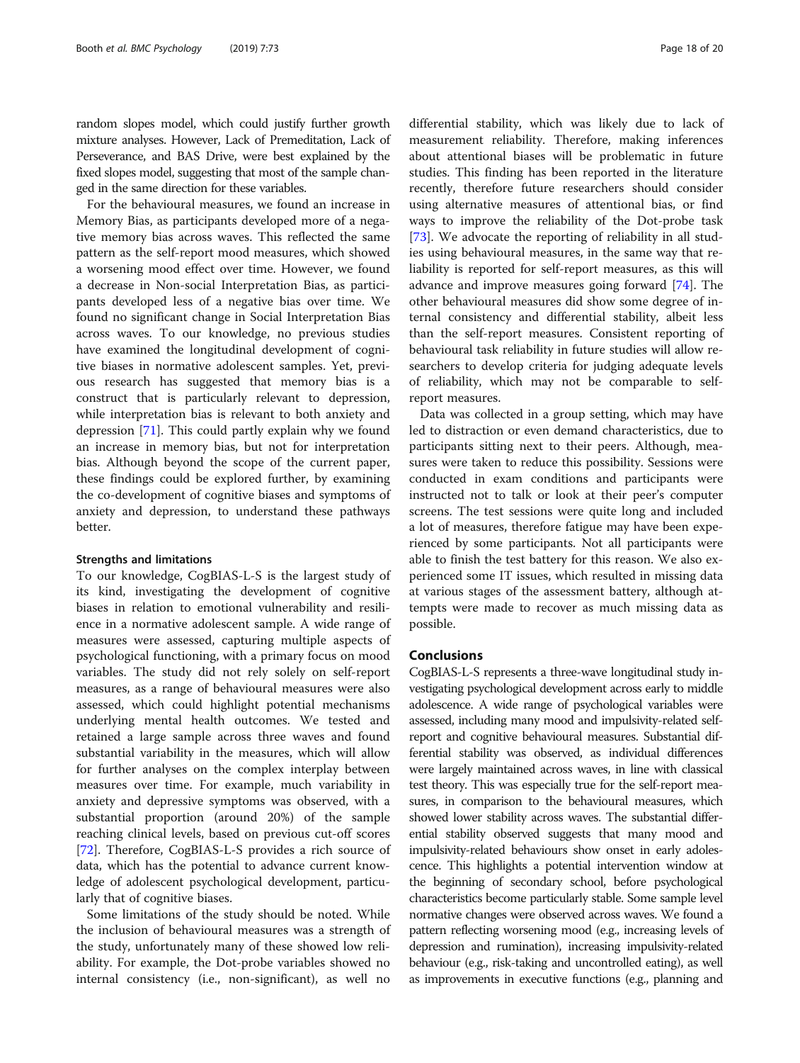random slopes model, which could justify further growth mixture analyses. However, Lack of Premeditation, Lack of Perseverance, and BAS Drive, were best explained by the fixed slopes model, suggesting that most of the sample changed in the same direction for these variables.

For the behavioural measures, we found an increase in Memory Bias, as participants developed more of a negative memory bias across waves. This reflected the same pattern as the self-report mood measures, which showed a worsening mood effect over time. However, we found a decrease in Non-social Interpretation Bias, as participants developed less of a negative bias over time. We found no significant change in Social Interpretation Bias across waves. To our knowledge, no previous studies have examined the longitudinal development of cognitive biases in normative adolescent samples. Yet, previous research has suggested that memory bias is a construct that is particularly relevant to depression, while interpretation bias is relevant to both anxiety and depression [[71\]](#page-19-0). This could partly explain why we found an increase in memory bias, but not for interpretation bias. Although beyond the scope of the current paper, these findings could be explored further, by examining the co-development of cognitive biases and symptoms of anxiety and depression, to understand these pathways better.

## Strengths and limitations

To our knowledge, CogBIAS-L-S is the largest study of its kind, investigating the development of cognitive biases in relation to emotional vulnerability and resilience in a normative adolescent sample. A wide range of measures were assessed, capturing multiple aspects of psychological functioning, with a primary focus on mood variables. The study did not rely solely on self-report measures, as a range of behavioural measures were also assessed, which could highlight potential mechanisms underlying mental health outcomes. We tested and retained a large sample across three waves and found substantial variability in the measures, which will allow for further analyses on the complex interplay between measures over time. For example, much variability in anxiety and depressive symptoms was observed, with a substantial proportion (around 20%) of the sample reaching clinical levels, based on previous cut-off scores [[72\]](#page-19-0). Therefore, CogBIAS-L-S provides a rich source of data, which has the potential to advance current knowledge of adolescent psychological development, particularly that of cognitive biases.

Some limitations of the study should be noted. While the inclusion of behavioural measures was a strength of the study, unfortunately many of these showed low reliability. For example, the Dot-probe variables showed no internal consistency (i.e., non-significant), as well no

differential stability, which was likely due to lack of measurement reliability. Therefore, making inferences about attentional biases will be problematic in future studies. This finding has been reported in the literature recently, therefore future researchers should consider using alternative measures of attentional bias, or find ways to improve the reliability of the Dot-probe task [[73\]](#page-19-0). We advocate the reporting of reliability in all studies using behavioural measures, in the same way that reliability is reported for self-report measures, as this will advance and improve measures going forward [[74](#page-19-0)]. The other behavioural measures did show some degree of internal consistency and differential stability, albeit less than the self-report measures. Consistent reporting of behavioural task reliability in future studies will allow researchers to develop criteria for judging adequate levels of reliability, which may not be comparable to selfreport measures.

Data was collected in a group setting, which may have led to distraction or even demand characteristics, due to participants sitting next to their peers. Although, measures were taken to reduce this possibility. Sessions were conducted in exam conditions and participants were instructed not to talk or look at their peer's computer screens. The test sessions were quite long and included a lot of measures, therefore fatigue may have been experienced by some participants. Not all participants were able to finish the test battery for this reason. We also experienced some IT issues, which resulted in missing data at various stages of the assessment battery, although attempts were made to recover as much missing data as possible.

# **Conclusions**

CogBIAS-L-S represents a three-wave longitudinal study investigating psychological development across early to middle adolescence. A wide range of psychological variables were assessed, including many mood and impulsivity-related selfreport and cognitive behavioural measures. Substantial differential stability was observed, as individual differences were largely maintained across waves, in line with classical test theory. This was especially true for the self-report measures, in comparison to the behavioural measures, which showed lower stability across waves. The substantial differential stability observed suggests that many mood and impulsivity-related behaviours show onset in early adolescence. This highlights a potential intervention window at the beginning of secondary school, before psychological characteristics become particularly stable. Some sample level normative changes were observed across waves. We found a pattern reflecting worsening mood (e.g., increasing levels of depression and rumination), increasing impulsivity-related behaviour (e.g., risk-taking and uncontrolled eating), as well as improvements in executive functions (e.g., planning and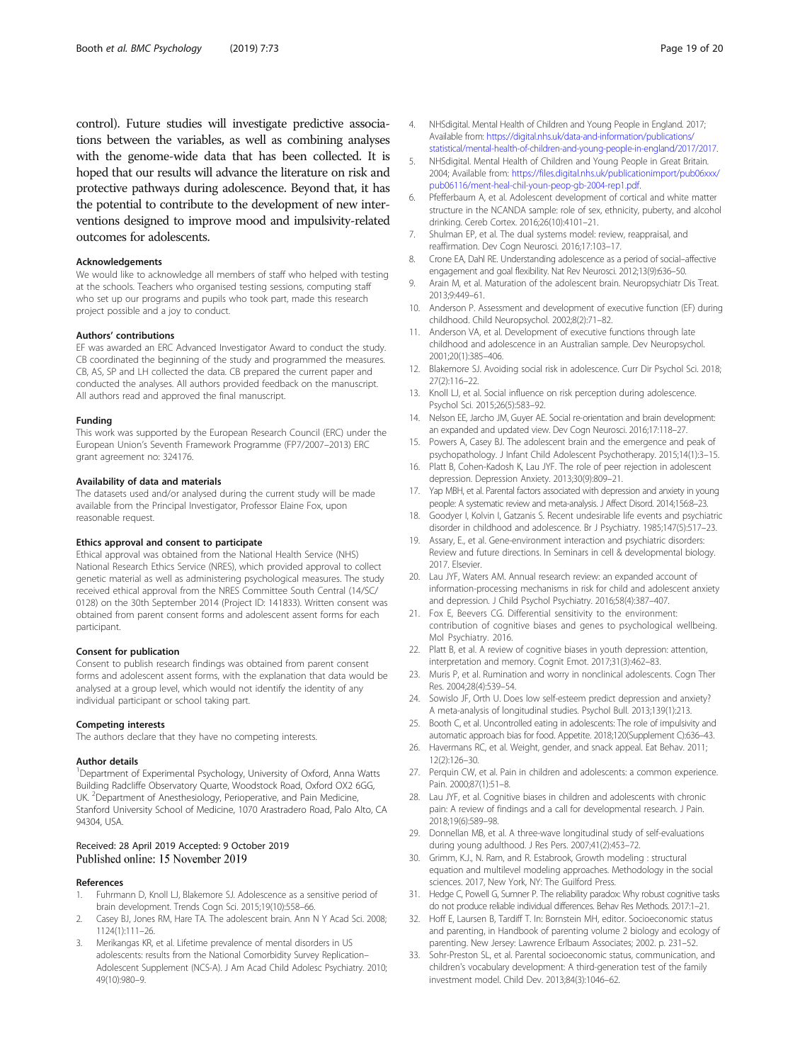<span id="page-18-0"></span>control). Future studies will investigate predictive associations between the variables, as well as combining analyses with the genome-wide data that has been collected. It is hoped that our results will advance the literature on risk and protective pathways during adolescence. Beyond that, it has the potential to contribute to the development of new interventions designed to improve mood and impulsivity-related outcomes for adolescents.

#### Acknowledgements

We would like to acknowledge all members of staff who helped with testing at the schools. Teachers who organised testing sessions, computing staff who set up our programs and pupils who took part, made this research project possible and a joy to conduct.

#### Authors' contributions

EF was awarded an ERC Advanced Investigator Award to conduct the study. CB coordinated the beginning of the study and programmed the measures. CB, AS, SP and LH collected the data. CB prepared the current paper and conducted the analyses. All authors provided feedback on the manuscript. All authors read and approved the final manuscript.

#### Funding

This work was supported by the European Research Council (ERC) under the European Union's Seventh Framework Programme (FP7/2007–2013) ERC grant agreement no: 324176.

#### Availability of data and materials

The datasets used and/or analysed during the current study will be made available from the Principal Investigator, Professor Elaine Fox, upon reasonable request.

## Ethics approval and consent to participate

Ethical approval was obtained from the National Health Service (NHS) National Research Ethics Service (NRES), which provided approval to collect genetic material as well as administering psychological measures. The study received ethical approval from the NRES Committee South Central (14/SC/ 0128) on the 30th September 2014 (Project ID: 141833). Written consent was obtained from parent consent forms and adolescent assent forms for each participant.

#### Consent for publication

Consent to publish research findings was obtained from parent consent forms and adolescent assent forms, with the explanation that data would be analysed at a group level, which would not identify the identity of any individual participant or school taking part.

#### Competing interests

The authors declare that they have no competing interests.

#### Author details

<sup>1</sup>Department of Experimental Psychology, University of Oxford, Anna Watts Building Radcliffe Observatory Quarte, Woodstock Road, Oxford OX2 6GG, UK. <sup>2</sup>Department of Anesthesiology, Perioperative, and Pain Medicine, Stanford University School of Medicine, 1070 Arastradero Road, Palo Alto, CA 94304, USA.

# Received: 28 April 2019 Accepted: 9 October 2019

#### References

- 1. Fuhrmann D, Knoll LJ, Blakemore SJ. Adolescence as a sensitive period of brain development. Trends Cogn Sci. 2015;19(10):558–66.
- 2. Casey BJ, Jones RM, Hare TA. The adolescent brain. Ann N Y Acad Sci. 2008; 1124(1):111–26.
- 3. Merikangas KR, et al. Lifetime prevalence of mental disorders in US adolescents: results from the National Comorbidity Survey Replication– Adolescent Supplement (NCS-A). J Am Acad Child Adolesc Psychiatry. 2010; 49(10):980–9.
- 4. NHSdigital. Mental Health of Children and Young People in England. 2017; Available from: [https://digital.nhs.uk/data-and-information/publications/](https://digital.nhs.uk/data-and-information/publications/statistical/mental-health-of-children-and-young-people-in-england/2017/2017) [statistical/mental-health-of-children-and-young-people-in-england/2017/2017.](https://digital.nhs.uk/data-and-information/publications/statistical/mental-health-of-children-and-young-people-in-england/2017/2017)
- 5. NHSdigital. Mental Health of Children and Young People in Great Britain. 2004; Available from: [https://files.digital.nhs.uk/publicationimport/pub06xxx/](https://files.digital.nhs.uk/publicationimport/pub06xxx/pub06116/ment-heal-chil-youn-peop-gb-2004-rep1.pdf) [pub06116/ment-heal-chil-youn-peop-gb-2004-rep1.pdf](https://files.digital.nhs.uk/publicationimport/pub06xxx/pub06116/ment-heal-chil-youn-peop-gb-2004-rep1.pdf).
- 6. Pfefferbaum A, et al. Adolescent development of cortical and white matter structure in the NCANDA sample: role of sex, ethnicity, puberty, and alcohol drinking. Cereb Cortex. 2016;26(10):4101–21.
- 7. Shulman EP, et al. The dual systems model: review, reappraisal, and reaffirmation. Dev Cogn Neurosci. 2016;17:103–17.
- 8. Crone EA, Dahl RE. Understanding adolescence as a period of social–affective engagement and goal flexibility. Nat Rev Neurosci. 2012;13(9):636–50.
- 9. Arain M, et al. Maturation of the adolescent brain. Neuropsychiatr Dis Treat. 2013;9:449–61.
- 10. Anderson P. Assessment and development of executive function (EF) during childhood. Child Neuropsychol. 2002;8(2):71–82.
- 11. Anderson VA, et al. Development of executive functions through late childhood and adolescence in an Australian sample. Dev Neuropsychol. 2001;20(1):385–406.
- 12. Blakemore SJ. Avoiding social risk in adolescence. Curr Dir Psychol Sci. 2018; 27(2):116–22.
- 13. Knoll LJ, et al. Social influence on risk perception during adolescence. Psychol Sci. 2015;26(5):583–92.
- Nelson EE, Jarcho JM, Guyer AE. Social re-orientation and brain development: an expanded and updated view. Dev Cogn Neurosci. 2016;17:118–27.
- 15. Powers A, Casey BJ. The adolescent brain and the emergence and peak of psychopathology. J Infant Child Adolescent Psychotherapy. 2015;14(1):3–15.
- 16. Platt B, Cohen-Kadosh K, Lau JYF. The role of peer rejection in adolescent depression. Depression Anxiety. 2013;30(9):809–21.
- 17. Yap MBH, et al. Parental factors associated with depression and anxiety in young people: A systematic review and meta-analysis. J Affect Disord. 2014;156:8–23.
- 18. Goodyer I, Kolvin I, Gatzanis S. Recent undesirable life events and psychiatric disorder in childhood and adolescence. Br J Psychiatry. 1985;147(5):517–23.
- 19. Assary, E., et al. Gene-environment interaction and psychiatric disorders: Review and future directions. In Seminars in cell & developmental biology. 2017. Elsevier.
- 20. Lau JYF, Waters AM. Annual research review: an expanded account of information-processing mechanisms in risk for child and adolescent anxiety and depression. J Child Psychol Psychiatry. 2016;58(4):387–407.
- 21. Fox E, Beevers CG. Differential sensitivity to the environment: contribution of cognitive biases and genes to psychological wellbeing. Mol Psychiatry. 2016.
- 22. Platt B, et al. A review of cognitive biases in youth depression: attention, interpretation and memory. Cognit Emot. 2017;31(3):462–83.
- 23. Muris P, et al. Rumination and worry in nonclinical adolescents. Cogn Ther Res. 2004;28(4):539–54.
- 24. Sowislo JF, Orth U. Does low self-esteem predict depression and anxiety? A meta-analysis of longitudinal studies. Psychol Bull. 2013;139(1):213.
- 25. Booth C, et al. Uncontrolled eating in adolescents: The role of impulsivity and automatic approach bias for food. Appetite. 2018;120(Supplement C):636–43.
- 26. Havermans RC, et al. Weight, gender, and snack appeal. Eat Behav. 2011; 12(2):126–30.
- 27. Perquin CW, et al. Pain in children and adolescents: a common experience. Pain. 2000;87(1):51–8.
- 28. Lau JYF, et al. Cognitive biases in children and adolescents with chronic pain: A review of findings and a call for developmental research. J Pain. 2018;19(6):589–98.
- 29. Donnellan MB, et al. A three-wave longitudinal study of self-evaluations during young adulthood. J Res Pers. 2007;41(2):453–72.
- 30. Grimm, K.J., N. Ram, and R. Estabrook, Growth modeling : structural equation and multilevel modeling approaches. Methodology in the social sciences. 2017, New York, NY: The Guilford Press.
- 31. Hedge C, Powell G, Sumner P. The reliability paradox: Why robust cognitive tasks do not produce reliable individual differences. Behav Res Methods. 2017:1–21.
- 32. Hoff E, Laursen B, Tardiff T. In: Bornstein MH, editor. Socioeconomic status and parenting, in Handbook of parenting volume 2 biology and ecology of parenting. New Jersey: Lawrence Erlbaum Associates; 2002. p. 231–52.
- 33. Sohr-Preston SL, et al. Parental socioeconomic status, communication, and children's vocabulary development: A third-generation test of the family investment model. Child Dev. 2013;84(3):1046–62.